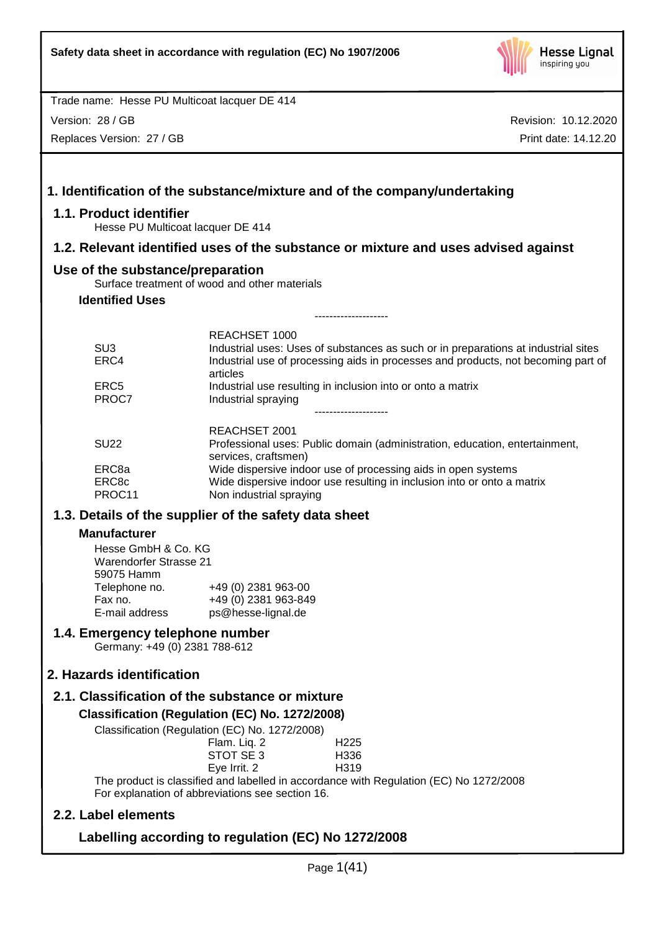

Version: 28 / GB

Replaces Version: 27 / GB

|                                                                                                                                                                    | 1. Identification of the substance/mixture and of the company/undertaking                                                                                                                                   |  |  |  |
|--------------------------------------------------------------------------------------------------------------------------------------------------------------------|-------------------------------------------------------------------------------------------------------------------------------------------------------------------------------------------------------------|--|--|--|
| 1.1. Product identifier<br>Hesse PU Multicoat lacquer DE 414                                                                                                       |                                                                                                                                                                                                             |  |  |  |
|                                                                                                                                                                    | 1.2. Relevant identified uses of the substance or mixture and uses advised against                                                                                                                          |  |  |  |
| Use of the substance/preparation                                                                                                                                   | Surface treatment of wood and other materials                                                                                                                                                               |  |  |  |
| <b>Identified Uses</b>                                                                                                                                             |                                                                                                                                                                                                             |  |  |  |
|                                                                                                                                                                    | -------------------                                                                                                                                                                                         |  |  |  |
| SU <sub>3</sub><br>ERC4                                                                                                                                            | <b>REACHSET 1000</b><br>Industrial uses: Uses of substances as such or in preparations at industrial sites<br>Industrial use of processing aids in processes and products, not becoming part of<br>articles |  |  |  |
| ERC <sub>5</sub><br>PROC7                                                                                                                                          | Industrial use resulting in inclusion into or onto a matrix<br>Industrial spraying                                                                                                                          |  |  |  |
| <b>SU22</b>                                                                                                                                                        | REACHSET 2001<br>Professional uses: Public domain (administration, education, entertainment,<br>services, craftsmen)                                                                                        |  |  |  |
| ERC8a<br>ERC8c<br>PROC11                                                                                                                                           | Wide dispersive indoor use of processing aids in open systems<br>Wide dispersive indoor use resulting in inclusion into or onto a matrix<br>Non industrial spraying                                         |  |  |  |
|                                                                                                                                                                    | 1.3. Details of the supplier of the safety data sheet                                                                                                                                                       |  |  |  |
| <b>Manufacturer</b><br>Hesse GmbH & Co. KG<br><b>Warendorfer Strasse 21</b><br>59075 Hamm<br>Telephone no.<br>Fax no.<br>E-mail address                            | +49 (0) 2381 963-00<br>+49 (0) 2381 963-849<br>ps@hesse-lignal.de                                                                                                                                           |  |  |  |
| 1.4. Emergency telephone number<br>Germany: +49 (0) 2381 788-612                                                                                                   |                                                                                                                                                                                                             |  |  |  |
| 2. Hazards identification                                                                                                                                          |                                                                                                                                                                                                             |  |  |  |
| 2.1. Classification of the substance or mixture                                                                                                                    |                                                                                                                                                                                                             |  |  |  |
|                                                                                                                                                                    | Classification (Regulation (EC) No. 1272/2008)<br>Classification (Regulation (EC) No. 1272/2008)<br>Flam. Liq. 2<br>H <sub>225</sub><br>STOT SE 3<br>H336                                                   |  |  |  |
| Eye Irrit. 2<br>H319<br>The product is classified and labelled in accordance with Regulation (EC) No 1272/2008<br>For explanation of abbreviations see section 16. |                                                                                                                                                                                                             |  |  |  |
| 2.2. Label elements                                                                                                                                                |                                                                                                                                                                                                             |  |  |  |
| Labelling according to regulation (EC) No 1272/2008                                                                                                                |                                                                                                                                                                                                             |  |  |  |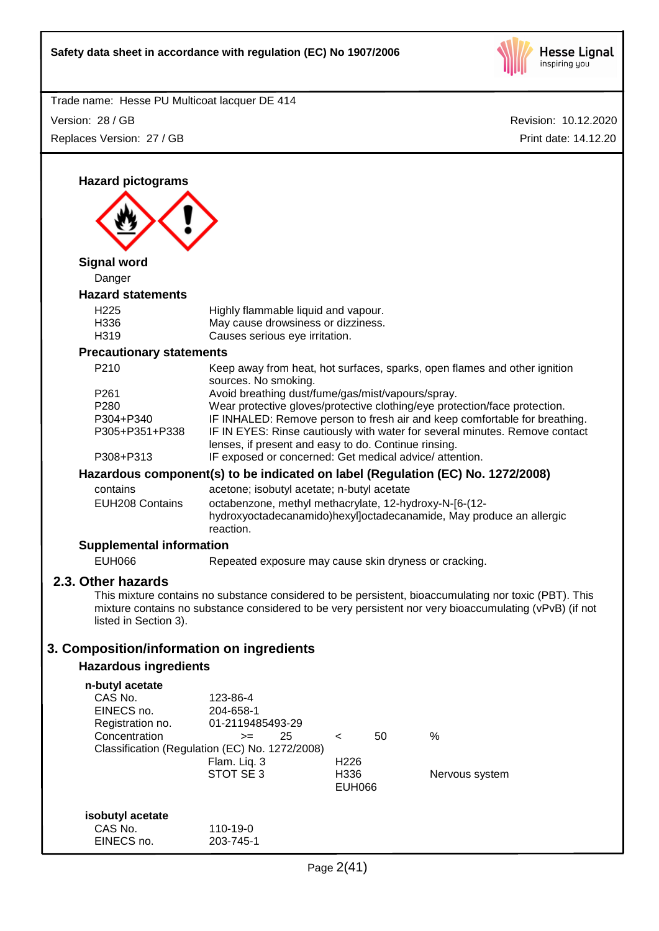

Revision: 10.12.2020 Trade name: Hesse PU Multicoat lacquer DE 414 Print date: 14.12.20 Version: 28 / GB Replaces Version: 27 / GB **Hazard pictograms Signal word** Danger **Hazard statements** H225 Highly flammable liquid and vapour. H336 May cause drowsiness or dizziness. H319 Causes serious eye irritation. **Precautionary statements** P210 Keep away from heat, hot surfaces, sparks, open flames and other ignition sources. No smoking. P261 Avoid breathing dust/fume/gas/mist/vapours/spray. P280 Wear protective gloves/protective clothing/eye protection/face protection. P304+P340 IF INHALED: Remove person to fresh air and keep comfortable for breathing. P305+P351+P338 IF IN EYES: Rinse cautiously with water for several minutes. Remove contact lenses, if present and easy to do. Continue rinsing. P308+P313 IF exposed or concerned: Get medical advice/ attention. **Hazardous component(s) to be indicated on label (Regulation (EC) No. 1272/2008)** contains acetone; isobutyl acetate; n-butyl acetate EUH208 Contains octabenzone, methyl methacrylate, 12-hydroxy-N-[6-(12 hydroxyoctadecanamido)hexyl]octadecanamide, May produce an allergic reaction. **Supplemental information** EUH066 Repeated exposure may cause skin dryness or cracking. **2.3. Other hazards** This mixture contains no substance considered to be persistent, bioaccumulating nor toxic (PBT). This mixture contains no substance considered to be very persistent nor very bioaccumulating (vPvB) (if not listed in Section 3). **3. Composition/information on ingredients Hazardous ingredients n-butyl acetate** CAS No. 123-86-4 EINECS no. 204-658-1 Registration no. 01-2119485493-29 Concentration >= 25 < 50 % Classification (Regulation (EC) No. 1272/2008) Flam. Liq. 3 H226 STOT SE 3 H336 Nervous system EUH066 **isobutyl acetate** CAS No. 110-19-0 EINECS no. 203-745-1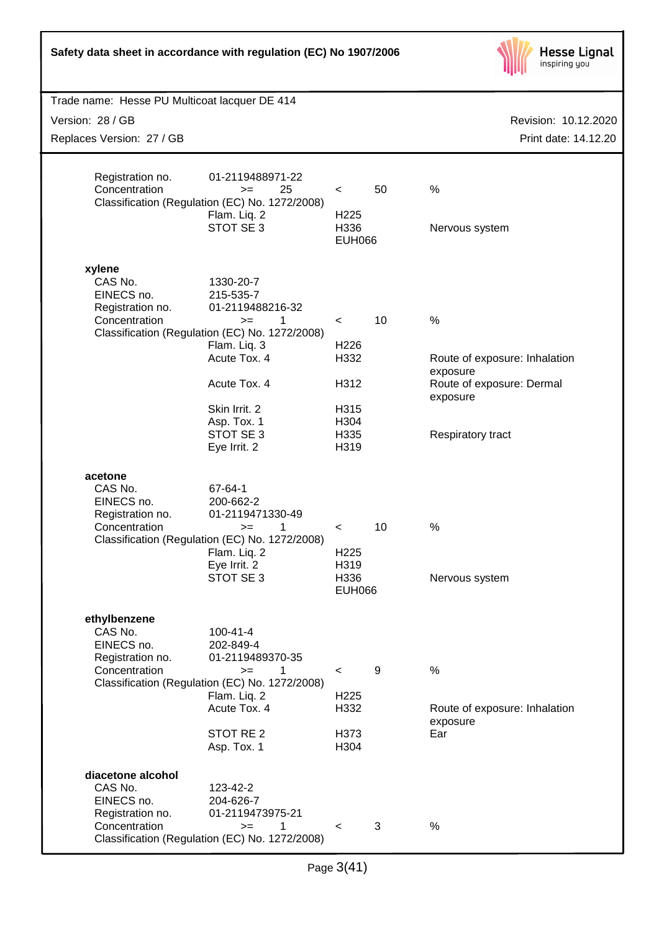| Safety data sheet in accordance with regulation (EC) No 1907/2006               |                                                                                                                                                                                                                        |                                                                             |    | <b>Hesse Lignal</b><br>inspiring you                                                                                     |
|---------------------------------------------------------------------------------|------------------------------------------------------------------------------------------------------------------------------------------------------------------------------------------------------------------------|-----------------------------------------------------------------------------|----|--------------------------------------------------------------------------------------------------------------------------|
| Trade name: Hesse PU Multicoat lacquer DE 414                                   |                                                                                                                                                                                                                        |                                                                             |    |                                                                                                                          |
| Version: 28 / GB                                                                |                                                                                                                                                                                                                        |                                                                             |    | Revision: 10.12.2020                                                                                                     |
| Replaces Version: 27 / GB                                                       |                                                                                                                                                                                                                        |                                                                             |    | Print date: 14.12.20                                                                                                     |
| Registration no.<br>Concentration                                               | 01-2119488971-22<br>25<br>$>=$<br>Classification (Regulation (EC) No. 1272/2008)<br>Flam. Liq. 2<br>STOT SE 3                                                                                                          | $\,<\,$<br>H <sub>225</sub><br>H336<br><b>EUH066</b>                        | 50 | %<br>Nervous system                                                                                                      |
| xylene<br>CAS No.<br>EINECS no.<br>Registration no.<br>Concentration            | 1330-20-7<br>215-535-7<br>01-2119488216-32<br>1<br>$>=$<br>Classification (Regulation (EC) No. 1272/2008)<br>Flam. Liq. 3<br>Acute Tox. 4<br>Acute Tox. 4<br>Skin Irrit. 2<br>Asp. Tox. 1<br>STOT SE 3<br>Eye Irrit. 2 | $\,<\,$<br>H <sub>226</sub><br>H332<br>H312<br>H315<br>H304<br>H335<br>H319 | 10 | $\frac{0}{0}$<br>Route of exposure: Inhalation<br>exposure<br>Route of exposure: Dermal<br>exposure<br>Respiratory tract |
| acetone<br>CAS No.<br>EINECS no.<br>Registration no.<br>Concentration           | 67-64-1<br>200-662-2<br>01-2119471330-49<br>$>=$<br>Classification (Regulation (EC) No. 1272/2008)<br>Flam. Liq. 2<br>Eye Irrit. 2<br>STOT SE 3                                                                        | <<br>H225<br>H319<br>H336<br><b>EUH066</b>                                  | 10 | $\%$<br>Nervous system                                                                                                   |
| ethylbenzene<br>CAS No.<br>EINECS no.<br>Registration no.<br>Concentration      | 100-41-4<br>202-849-4<br>01-2119489370-35<br>1<br>$>=$<br>Classification (Regulation (EC) No. 1272/2008)<br>Flam. Liq. 2<br>Acute Tox. 4<br>STOT RE <sub>2</sub><br>Asp. Tox. 1                                        | $\,<\,$<br>H <sub>225</sub><br>H332<br>H373<br>H304                         | 9  | $\%$<br>Route of exposure: Inhalation<br>exposure<br>Ear                                                                 |
| diacetone alcohol<br>CAS No.<br>EINECS no.<br>Registration no.<br>Concentration | 123-42-2<br>204-626-7<br>01-2119473975-21<br>1<br>$>=$<br>Classification (Regulation (EC) No. 1272/2008)                                                                                                               | $\,<\,$                                                                     | 3  | $\%$                                                                                                                     |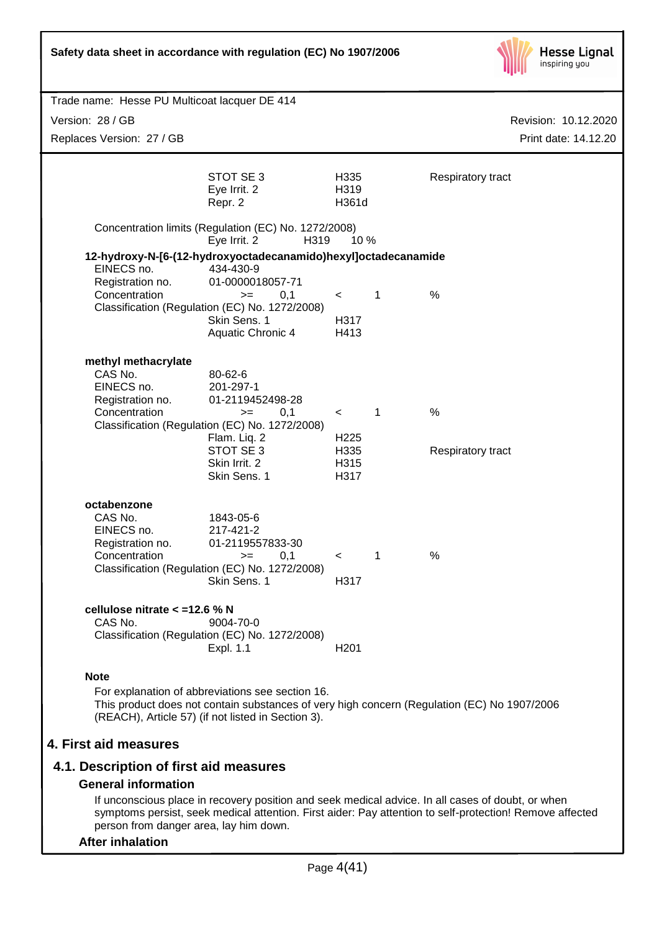

| Trade name: Hesse PU Multicoat lacquer DE 414                                                                                                                                                                             |                                                      |                                                   |              |                           |
|---------------------------------------------------------------------------------------------------------------------------------------------------------------------------------------------------------------------------|------------------------------------------------------|---------------------------------------------------|--------------|---------------------------|
| Version: 28 / GB                                                                                                                                                                                                          |                                                      |                                                   |              | Revision: 10.12.2020      |
| Replaces Version: 27 / GB                                                                                                                                                                                                 |                                                      |                                                   |              | Print date: 14.12.20      |
| STOT SE 3<br>Eye Irrit. 2<br>Repr. 2                                                                                                                                                                                      |                                                      | H335<br>H319<br>H361d                             |              | Respiratory tract         |
| Concentration limits (Regulation (EC) No. 1272/2008)<br>Eye Irrit. 2                                                                                                                                                      | H319                                                 | 10%                                               |              |                           |
| 12-hydroxy-N-[6-(12-hydroxyoctadecanamido)hexyl]octadecanamide<br>EINECS no.<br>434-430-9<br>Registration no.<br>Concentration<br>Classification (Regulation (EC) No. 1272/2008)<br>Skin Sens. 1                          | 01-0000018057-71<br>0,1<br>$>=$<br>Aquatic Chronic 4 | $\prec$<br>H317<br>H413                           | $\mathbf{1}$ | %                         |
| methyl methacrylate<br>CAS No.<br>80-62-6<br>EINECS no.<br>201-297-1<br>Registration no.<br>Concentration<br>Classification (Regulation (EC) No. 1272/2008)<br>Flam. Liq. 2<br>STOT SE 3<br>Skin Irrit. 2<br>Skin Sens. 1 | 01-2119452498-28<br>0,1<br>$>=$                      | $\lt$<br>H <sub>225</sub><br>H335<br>H315<br>H317 | $\mathbf{1}$ | $\%$<br>Respiratory tract |
| octabenzone<br>CAS No.<br>1843-05-6<br>EINECS no.<br>217-421-2<br>Registration no.<br>Concentration<br>Classification (Regulation (EC) No. 1272/2008)<br>Skin Sens. 1                                                     | 01-2119557833-30<br>0,1<br>$>=$                      | $\,<\,$<br>H317                                   | $\mathbf 1$  | %                         |
| cellulose nitrate $<$ =12.6 % N<br>CAS No.<br>9004-70-0<br>Classification (Regulation (EC) No. 1272/2008)<br>Expl. 1.1                                                                                                    |                                                      | H <sub>201</sub>                                  |              |                           |
| <b>Note</b><br>For explanation of abbreviations see section 16.<br>This product does not contain substances of very high concern (Regulation (EC) No 1907/2006<br>(REACH), Article 57) (if not listed in Section 3).      |                                                      |                                                   |              |                           |
| 4. First aid measures                                                                                                                                                                                                     |                                                      |                                                   |              |                           |
| 4.1. Description of first aid measures                                                                                                                                                                                    |                                                      |                                                   |              |                           |
| <b>General information</b>                                                                                                                                                                                                |                                                      |                                                   |              |                           |

If unconscious place in recovery position and seek medical advice. In all cases of doubt, or when symptoms persist, seek medical attention. First aider: Pay attention to self-protection! Remove affected person from danger area, lay him down.

### **After inhalation**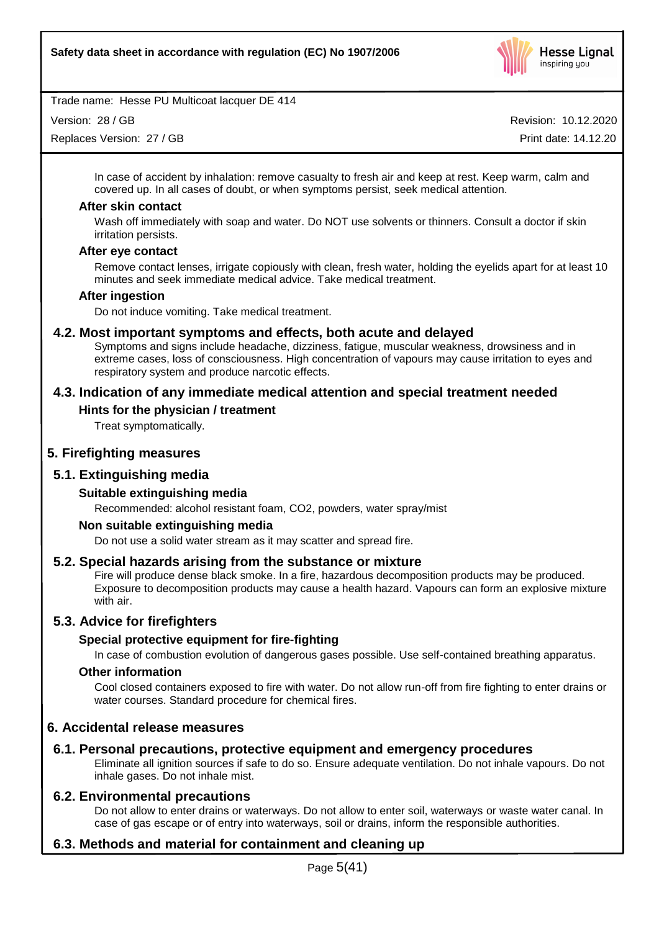

Version: 28 / GB

Replaces Version: 27 / GB

Revision: 10.12.2020

Print date: 14.12.20

In case of accident by inhalation: remove casualty to fresh air and keep at rest. Keep warm, calm and covered up. In all cases of doubt, or when symptoms persist, seek medical attention.

### **After skin contact**

Wash off immediately with soap and water. Do NOT use solvents or thinners. Consult a doctor if skin irritation persists.

### **After eye contact**

Remove contact lenses, irrigate copiously with clean, fresh water, holding the eyelids apart for at least 10 minutes and seek immediate medical advice. Take medical treatment.

# **After ingestion**

Do not induce vomiting. Take medical treatment.

# **4.2. Most important symptoms and effects, both acute and delayed**

Symptoms and signs include headache, dizziness, fatigue, muscular weakness, drowsiness and in extreme cases, loss of consciousness. High concentration of vapours may cause irritation to eyes and respiratory system and produce narcotic effects.

# **4.3. Indication of any immediate medical attention and special treatment needed**

# **Hints for the physician / treatment**

Treat symptomatically.

# **5. Firefighting measures**

# **5.1. Extinguishing media**

### **Suitable extinguishing media**

Recommended: alcohol resistant foam, CO2, powders, water spray/mist

### **Non suitable extinguishing media**

Do not use a solid water stream as it may scatter and spread fire.

### **5.2. Special hazards arising from the substance or mixture**

Fire will produce dense black smoke. In a fire, hazardous decomposition products may be produced. Exposure to decomposition products may cause a health hazard. Vapours can form an explosive mixture with air.

# **5.3. Advice for firefighters**

### **Special protective equipment for fire-fighting**

In case of combustion evolution of dangerous gases possible. Use self-contained breathing apparatus.

### **Other information**

Cool closed containers exposed to fire with water. Do not allow run-off from fire fighting to enter drains or water courses. Standard procedure for chemical fires.

# **6. Accidental release measures**

# **6.1. Personal precautions, protective equipment and emergency procedures**

Eliminate all ignition sources if safe to do so. Ensure adequate ventilation. Do not inhale vapours. Do not inhale gases. Do not inhale mist.

### **6.2. Environmental precautions**

Do not allow to enter drains or waterways. Do not allow to enter soil, waterways or waste water canal. In case of gas escape or of entry into waterways, soil or drains, inform the responsible authorities.

# **6.3. Methods and material for containment and cleaning up**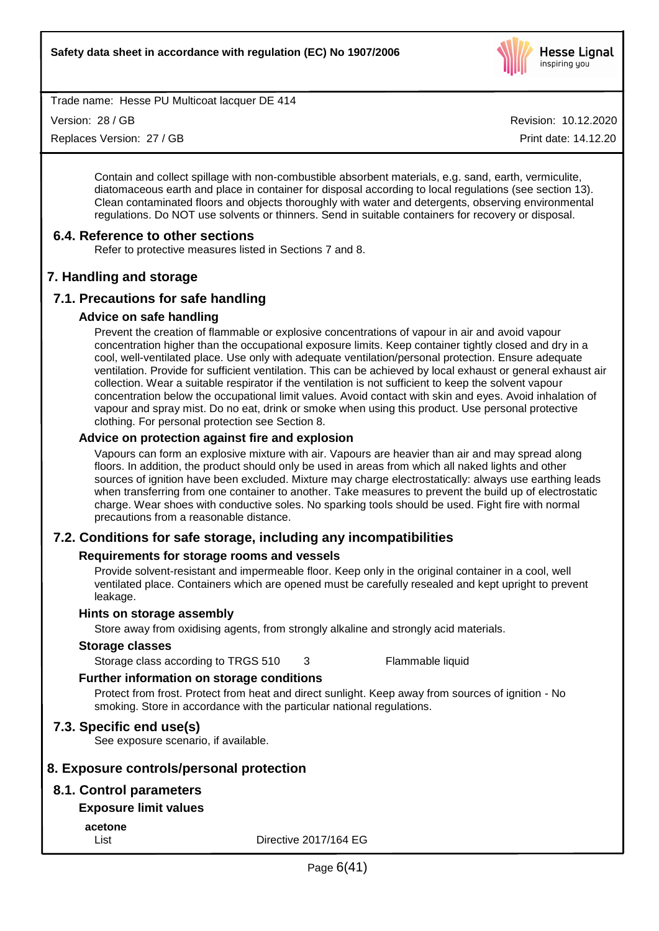

Version: 28 / GB

Replaces Version: 27 / GB

Revision: 10.12.2020 Print date: 14.12.20

Contain and collect spillage with non-combustible absorbent materials, e.g. sand, earth, vermiculite, diatomaceous earth and place in container for disposal according to local regulations (see section 13). Clean contaminated floors and objects thoroughly with water and detergents, observing environmental regulations. Do NOT use solvents or thinners. Send in suitable containers for recovery or disposal.

# **6.4. Reference to other sections**

Refer to protective measures listed in Sections 7 and 8.

# **7. Handling and storage**

# **7.1. Precautions for safe handling**

### **Advice on safe handling**

Prevent the creation of flammable or explosive concentrations of vapour in air and avoid vapour concentration higher than the occupational exposure limits. Keep container tightly closed and dry in a cool, well-ventilated place. Use only with adequate ventilation/personal protection. Ensure adequate ventilation. Provide for sufficient ventilation. This can be achieved by local exhaust or general exhaust air collection. Wear a suitable respirator if the ventilation is not sufficient to keep the solvent vapour concentration below the occupational limit values. Avoid contact with skin and eyes. Avoid inhalation of vapour and spray mist. Do no eat, drink or smoke when using this product. Use personal protective clothing. For personal protection see Section 8.

### **Advice on protection against fire and explosion**

Vapours can form an explosive mixture with air. Vapours are heavier than air and may spread along floors. In addition, the product should only be used in areas from which all naked lights and other sources of ignition have been excluded. Mixture may charge electrostatically: always use earthing leads when transferring from one container to another. Take measures to prevent the build up of electrostatic charge. Wear shoes with conductive soles. No sparking tools should be used. Fight fire with normal precautions from a reasonable distance.

# **7.2. Conditions for safe storage, including any incompatibilities**

### **Requirements for storage rooms and vessels**

Provide solvent-resistant and impermeable floor. Keep only in the original container in a cool, well ventilated place. Containers which are opened must be carefully resealed and kept upright to prevent leakage.

### **Hints on storage assembly**

Store away from oxidising agents, from strongly alkaline and strongly acid materials.

### **Storage classes**

Storage class according to TRGS 510 3 Flammable liquid

### **Further information on storage conditions**

Protect from frost. Protect from heat and direct sunlight. Keep away from sources of ignition - No smoking. Store in accordance with the particular national regulations.

# **7.3. Specific end use(s)**

See exposure scenario, if available.

# **8. Exposure controls/personal protection**

# **8.1. Control parameters**

### **Exposure limit values**

**acetone**

List Directive 2017/164 EG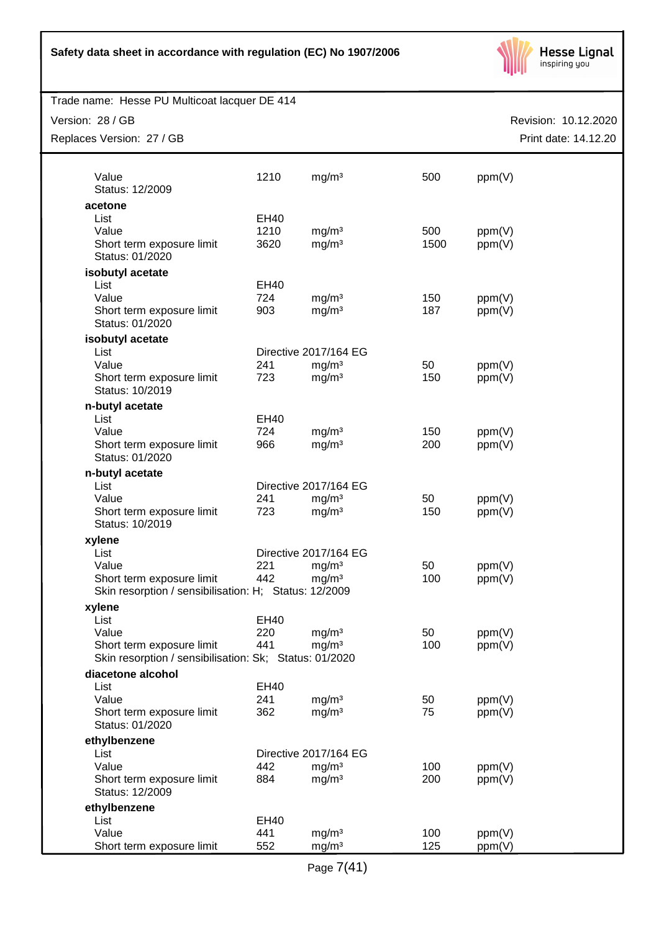

| Trade name: Hesse PU Multicoat lacquer DE 414                                       |             |                       |      |                      |
|-------------------------------------------------------------------------------------|-------------|-----------------------|------|----------------------|
| Version: 28 / GB                                                                    |             |                       |      | Revision: 10.12.2020 |
| Replaces Version: 27 / GB                                                           |             |                       |      | Print date: 14.12.20 |
|                                                                                     |             |                       |      |                      |
| Value<br>Status: 12/2009                                                            | 1210        | mg/m <sup>3</sup>     | 500  | ppm(V)               |
| acetone                                                                             |             |                       |      |                      |
| List                                                                                | EH40        |                       |      |                      |
| Value                                                                               | 1210        | mg/m <sup>3</sup>     | 500  | ppm(V)               |
| Short term exposure limit<br>Status: 01/2020                                        | 3620        | mg/m <sup>3</sup>     | 1500 | ppm(V)               |
| isobutyl acetate                                                                    |             |                       |      |                      |
| List                                                                                | EH40        |                       |      |                      |
| Value                                                                               | 724         | mg/m <sup>3</sup>     | 150  | ppm(V)               |
| Short term exposure limit<br>Status: 01/2020                                        | 903         | mg/m <sup>3</sup>     | 187  | ppm(V)               |
| isobutyl acetate                                                                    |             |                       |      |                      |
| List                                                                                |             | Directive 2017/164 EG |      |                      |
| Value                                                                               | 241         | mg/m <sup>3</sup>     | 50   | ppm(V)               |
| Short term exposure limit<br>Status: 10/2019                                        | 723         | mg/m <sup>3</sup>     | 150  | ppm(V)               |
| n-butyl acetate                                                                     |             |                       |      |                      |
| List                                                                                | EH40        |                       |      |                      |
| Value                                                                               | 724         | mg/m <sup>3</sup>     | 150  | ppm(V)               |
| Short term exposure limit<br>Status: 01/2020                                        | 966         | mg/m <sup>3</sup>     | 200  | ppm(V)               |
| n-butyl acetate                                                                     |             |                       |      |                      |
| List                                                                                |             | Directive 2017/164 EG |      |                      |
| Value                                                                               | 241         | mg/m <sup>3</sup>     | 50   | ppm(V)               |
| Short term exposure limit<br>Status: 10/2019                                        | 723         | mg/m <sup>3</sup>     | 150  | ppm(V)               |
| xylene                                                                              |             |                       |      |                      |
| List                                                                                |             | Directive 2017/164 EG |      |                      |
| Value                                                                               | 221         | mg/m <sup>3</sup>     | 50   | ppm(V)               |
| Short term exposure limit<br>Skin resorption / sensibilisation: H; Status: 12/2009  | 442         | mg/m <sup>3</sup>     | 100  | ppm(V)               |
| xylene                                                                              |             |                       |      |                      |
| List                                                                                | <b>EH40</b> |                       |      |                      |
| Value                                                                               | 220         | mg/m <sup>3</sup>     | 50   | ppm(V)               |
| Short term exposure limit<br>Skin resorption / sensibilisation: Sk; Status: 01/2020 | 441         | mg/m <sup>3</sup>     | 100  | ppm(V)               |
| diacetone alcohol                                                                   |             |                       |      |                      |
| List                                                                                | <b>EH40</b> |                       |      |                      |
| Value                                                                               | 241         | mg/m <sup>3</sup>     | 50   | ppm(V)               |
| Short term exposure limit<br>Status: 01/2020                                        | 362         | mg/m <sup>3</sup>     | 75   | ppm(V)               |
| ethylbenzene                                                                        |             |                       |      |                      |
| List                                                                                |             | Directive 2017/164 EG |      |                      |
| Value                                                                               | 442         | mg/m <sup>3</sup>     | 100  | ppm(V)               |
| Short term exposure limit<br>Status: 12/2009                                        | 884         | mg/m <sup>3</sup>     | 200  | ppm(V)               |
| ethylbenzene                                                                        |             |                       |      |                      |
| List                                                                                | <b>EH40</b> |                       |      |                      |
| Value                                                                               | 441         | mg/m <sup>3</sup>     | 100  | ppm(V)               |
| Short term exposure limit                                                           | 552         | mg/m <sup>3</sup>     | 125  | ppm(V)               |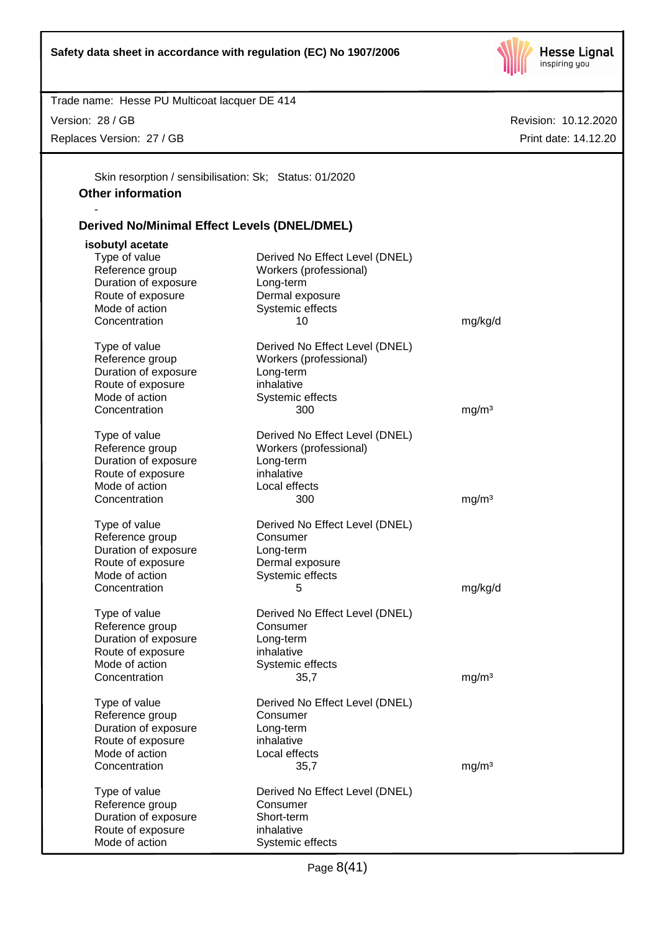

Version: 28 / GB

-

Replaces Version: 27 / GB

Revision: 10.12.2020 Print date: 14.12.20

Skin resorption / sensibilisation: Sk; Status: 01/2020 **Other information**

# **Derived No/Minimal Effect Levels (DNEL/DMEL)**

| isobutyl acetate     |                                |                   |
|----------------------|--------------------------------|-------------------|
| Type of value        | Derived No Effect Level (DNEL) |                   |
| Reference group      | Workers (professional)         |                   |
| Duration of exposure | Long-term                      |                   |
| Route of exposure    | Dermal exposure                |                   |
| Mode of action       | Systemic effects               |                   |
| Concentration        | 10                             | mg/kg/d           |
|                      |                                |                   |
| Type of value        | Derived No Effect Level (DNEL) |                   |
| Reference group      | Workers (professional)         |                   |
| Duration of exposure | Long-term                      |                   |
| Route of exposure    | inhalative                     |                   |
| Mode of action       | Systemic effects               |                   |
| Concentration        | 300                            | mg/m <sup>3</sup> |
|                      |                                |                   |
| Type of value        | Derived No Effect Level (DNEL) |                   |
| Reference group      | Workers (professional)         |                   |
| Duration of exposure | Long-term                      |                   |
| Route of exposure    | inhalative                     |                   |
| Mode of action       | Local effects                  |                   |
| Concentration        | 300                            | mg/m <sup>3</sup> |
|                      |                                |                   |
| Type of value        | Derived No Effect Level (DNEL) |                   |
| Reference group      | Consumer                       |                   |
| Duration of exposure | Long-term                      |                   |
| Route of exposure    | Dermal exposure                |                   |
| Mode of action       | Systemic effects               |                   |
| Concentration        | 5                              | mg/kg/d           |
|                      |                                |                   |
| Type of value        | Derived No Effect Level (DNEL) |                   |
| Reference group      | Consumer                       |                   |
| Duration of exposure | Long-term                      |                   |
| Route of exposure    | inhalative                     |                   |
| Mode of action       | Systemic effects               |                   |
| Concentration        | 35,7                           | mg/m <sup>3</sup> |
|                      |                                |                   |
| Type of value        | Derived No Effect Level (DNEL) |                   |
| Reference group      | Consumer                       |                   |
| Duration of exposure | Long-term                      |                   |
| Route of exposure    | inhalative                     |                   |
| Mode of action       | Local effects                  |                   |
| Concentration        | 35,7                           | mg/m <sup>3</sup> |
|                      |                                |                   |
| Type of value        | Derived No Effect Level (DNEL) |                   |
| Reference group      | Consumer                       |                   |
| Duration of exposure | Short-term                     |                   |
| Route of exposure    | inhalative                     |                   |
| Mode of action       | Systemic effects               |                   |
|                      |                                |                   |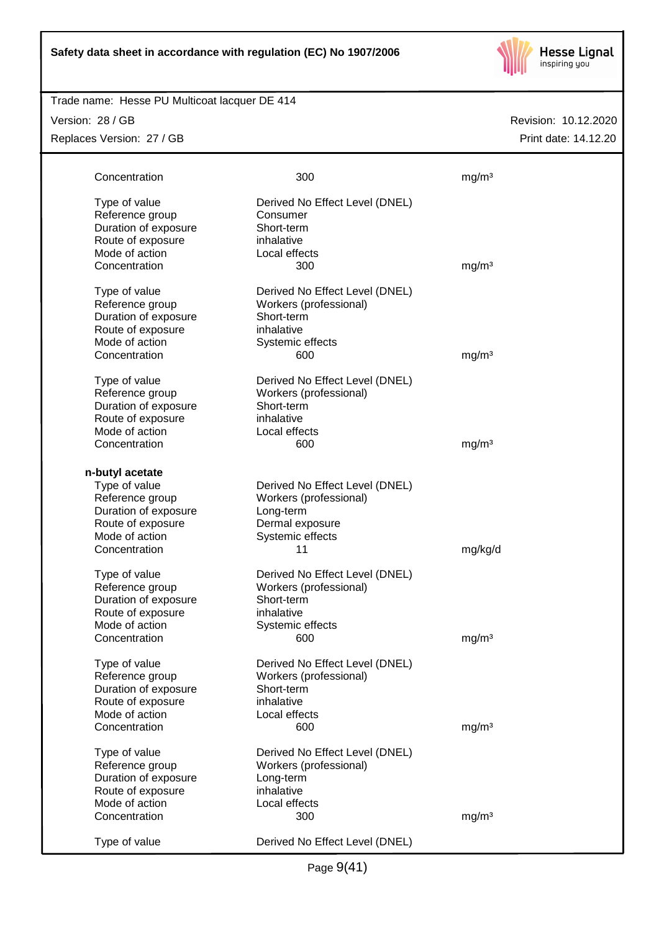

### Trade name: Hesse PU Multicoat lacquer DE 414

Version: 28 / GB Replaces Version: 27 / GB

| Concentration        | 300                            | mg/m <sup>3</sup> |
|----------------------|--------------------------------|-------------------|
| Type of value        | Derived No Effect Level (DNEL) |                   |
| Reference group      | Consumer                       |                   |
| Duration of exposure | Short-term                     |                   |
| Route of exposure    | inhalative                     |                   |
| Mode of action       | Local effects                  |                   |
| Concentration        | 300                            | mg/m <sup>3</sup> |
| Type of value        | Derived No Effect Level (DNEL) |                   |
| Reference group      | Workers (professional)         |                   |
| Duration of exposure | Short-term                     |                   |
| Route of exposure    | inhalative                     |                   |
| Mode of action       | Systemic effects               |                   |
| Concentration        | 600                            | mg/m <sup>3</sup> |
| Type of value        | Derived No Effect Level (DNEL) |                   |
| Reference group      | Workers (professional)         |                   |
| Duration of exposure | Short-term                     |                   |
| Route of exposure    | inhalative                     |                   |
| Mode of action       | Local effects                  |                   |
| Concentration        | 600                            | mg/m <sup>3</sup> |
| n-butyl acetate      |                                |                   |
| Type of value        | Derived No Effect Level (DNEL) |                   |
| Reference group      | Workers (professional)         |                   |
| Duration of exposure | Long-term                      |                   |
| Route of exposure    | Dermal exposure                |                   |
| Mode of action       | Systemic effects               |                   |
| Concentration        | 11                             | mg/kg/d           |
| Type of value        | Derived No Effect Level (DNEL) |                   |
| Reference group      | Workers (professional)         |                   |
| Duration of exposure | Short-term                     |                   |
| Route of exposure    | inhalative                     |                   |
| Mode of action       | Systemic effects               |                   |
| Concentration        | 600                            | mg/m <sup>3</sup> |
| Type of value        | Derived No Effect Level (DNEL) |                   |
| Reference group      | Workers (professional)         |                   |
| Duration of exposure | Short-term                     |                   |
| Route of exposure    | inhalative                     |                   |
| Mode of action       | Local effects                  |                   |
| Concentration        | 600                            | mg/m <sup>3</sup> |
| Type of value        | Derived No Effect Level (DNEL) |                   |
| Reference group      | Workers (professional)         |                   |
| Duration of exposure | Long-term                      |                   |
| Route of exposure    | inhalative                     |                   |
| Mode of action       | Local effects                  |                   |
| Concentration        | 300                            | mg/m <sup>3</sup> |
| Type of value        | Derived No Effect Level (DNEL) |                   |
|                      |                                |                   |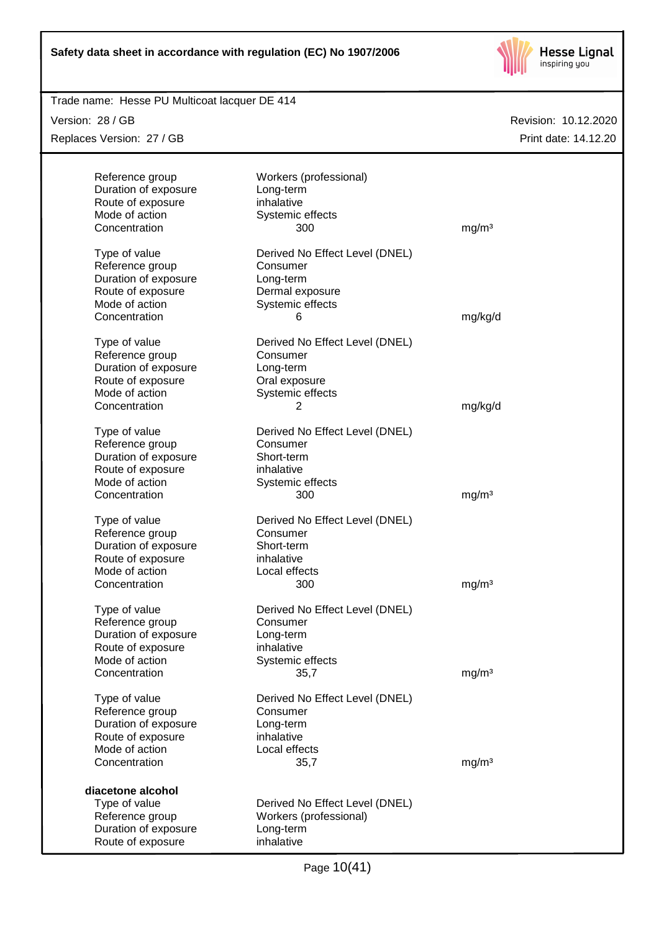

| Trade name: Hesse PU Multicoat lacquer DE 414 |                                            |                   |                      |
|-----------------------------------------------|--------------------------------------------|-------------------|----------------------|
| Version: 28 / GB                              |                                            |                   | Revision: 10.12.2020 |
| Replaces Version: 27 / GB                     |                                            |                   | Print date: 14.12.20 |
|                                               |                                            |                   |                      |
| Reference group                               | Workers (professional)                     |                   |                      |
| Duration of exposure                          | Long-term                                  |                   |                      |
| Route of exposure                             | inhalative                                 |                   |                      |
| Mode of action<br>Concentration               | Systemic effects<br>300                    |                   |                      |
|                                               |                                            | mg/m <sup>3</sup> |                      |
| Type of value                                 | Derived No Effect Level (DNEL)             |                   |                      |
| Reference group                               | Consumer                                   |                   |                      |
| Duration of exposure                          | Long-term                                  |                   |                      |
| Route of exposure                             | Dermal exposure                            |                   |                      |
| Mode of action                                | Systemic effects                           |                   |                      |
| Concentration                                 | 6                                          | mg/kg/d           |                      |
|                                               |                                            |                   |                      |
| Type of value                                 | Derived No Effect Level (DNEL)             |                   |                      |
| Reference group                               | Consumer                                   |                   |                      |
| Duration of exposure                          | Long-term                                  |                   |                      |
| Route of exposure<br>Mode of action           | Oral exposure                              |                   |                      |
| Concentration                                 | Systemic effects<br>2                      | mg/kg/d           |                      |
|                                               |                                            |                   |                      |
| Type of value                                 | Derived No Effect Level (DNEL)             |                   |                      |
| Reference group                               | Consumer                                   |                   |                      |
| Duration of exposure                          | Short-term                                 |                   |                      |
| Route of exposure                             | inhalative                                 |                   |                      |
| Mode of action                                | Systemic effects                           |                   |                      |
| Concentration                                 | 300                                        | mg/m <sup>3</sup> |                      |
| Type of value                                 |                                            |                   |                      |
| Reference group                               | Derived No Effect Level (DNEL)<br>Consumer |                   |                      |
| Duration of exposure                          | Short-term                                 |                   |                      |
| Route of exposure                             | inhalative                                 |                   |                      |
| Mode of action                                | Local effects                              |                   |                      |
| Concentration                                 | 300                                        | mg/m <sup>3</sup> |                      |
|                                               |                                            |                   |                      |
| Type of value                                 | Derived No Effect Level (DNEL)             |                   |                      |
| Reference group                               | Consumer                                   |                   |                      |
| Duration of exposure                          | Long-term                                  |                   |                      |
| Route of exposure                             | inhalative                                 |                   |                      |
| Mode of action                                | Systemic effects                           |                   |                      |
| Concentration                                 | 35,7                                       | mg/m <sup>3</sup> |                      |
| Type of value                                 | Derived No Effect Level (DNEL)             |                   |                      |
| Reference group                               | Consumer                                   |                   |                      |
| Duration of exposure                          | Long-term                                  |                   |                      |
| Route of exposure                             | inhalative                                 |                   |                      |
| Mode of action                                | Local effects                              |                   |                      |
| Concentration                                 | 35,7                                       | mg/m <sup>3</sup> |                      |
|                                               |                                            |                   |                      |
| diacetone alcohol                             |                                            |                   |                      |
| Type of value                                 | Derived No Effect Level (DNEL)             |                   |                      |
| Reference group                               | Workers (professional)                     |                   |                      |
| Duration of exposure                          | Long-term                                  |                   |                      |
| Route of exposure                             | inhalative                                 |                   |                      |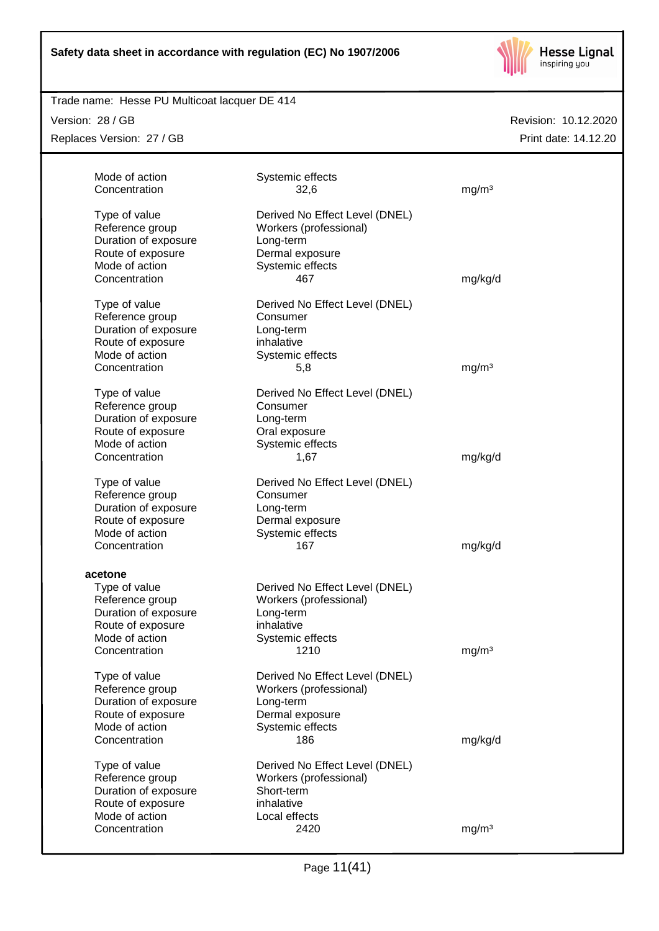

# Trade name: Hesse PU Multicoat lacquer DE 414

Version: 28 / GB

Replaces Version: 27 / GB

| Mode of action       | Systemic effects               |                   |
|----------------------|--------------------------------|-------------------|
| Concentration        | 32,6                           | mg/m <sup>3</sup> |
| Type of value        | Derived No Effect Level (DNEL) |                   |
| Reference group      | Workers (professional)         |                   |
| Duration of exposure | Long-term                      |                   |
| Route of exposure    | Dermal exposure                |                   |
| Mode of action       | Systemic effects               |                   |
| Concentration        | 467                            | mg/kg/d           |
| Type of value        | Derived No Effect Level (DNEL) |                   |
| Reference group      | Consumer                       |                   |
| Duration of exposure | Long-term                      |                   |
| Route of exposure    | inhalative                     |                   |
| Mode of action       | Systemic effects               |                   |
| Concentration        | 5,8                            | mg/m <sup>3</sup> |
| Type of value        | Derived No Effect Level (DNEL) |                   |
| Reference group      | Consumer                       |                   |
| Duration of exposure | Long-term                      |                   |
| Route of exposure    | Oral exposure                  |                   |
| Mode of action       | Systemic effects               |                   |
| Concentration        | 1,67                           | mg/kg/d           |
| Type of value        | Derived No Effect Level (DNEL) |                   |
| Reference group      | Consumer                       |                   |
| Duration of exposure | Long-term                      |                   |
| Route of exposure    | Dermal exposure                |                   |
| Mode of action       | Systemic effects               |                   |
| Concentration        | 167                            | mg/kg/d           |
| acetone              |                                |                   |
| Type of value        | Derived No Effect Level (DNEL) |                   |
| Reference group      | Workers (professional)         |                   |
| Duration of exposure | Long-term                      |                   |
| Route of exposure    | inhalative                     |                   |
| Mode of action       | Systemic effects               |                   |
| Concentration        | 1210                           | mg/m <sup>3</sup> |
| Type of value        | Derived No Effect Level (DNEL) |                   |
| Reference group      | Workers (professional)         |                   |
| Duration of exposure | Long-term                      |                   |
| Route of exposure    | Dermal exposure                |                   |
| Mode of action       | Systemic effects               |                   |
| Concentration        | 186                            | mg/kg/d           |
| Type of value        | Derived No Effect Level (DNEL) |                   |
| Reference group      | Workers (professional)         |                   |
| Duration of exposure | Short-term                     |                   |
| Route of exposure    | inhalative                     |                   |
| Mode of action       | Local effects                  |                   |
| Concentration        | 2420                           | mg/m <sup>3</sup> |
|                      |                                |                   |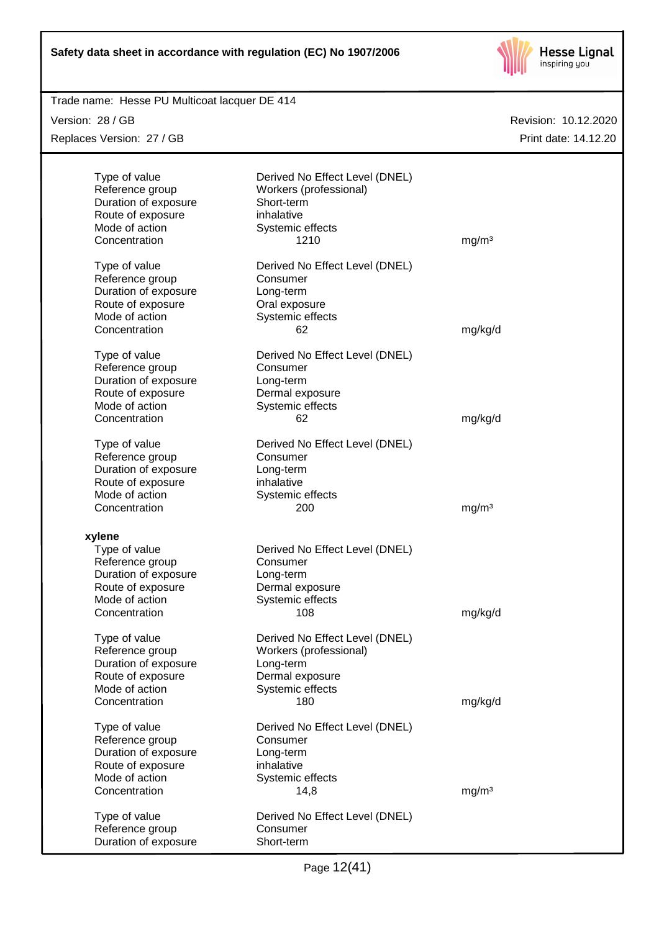

| Trade name: Hesse PU Multicoat lacquer DE 414 |                                |                      |
|-----------------------------------------------|--------------------------------|----------------------|
| Version: 28 / GB                              |                                | Revision: 10.12.2020 |
| Replaces Version: 27 / GB                     |                                | Print date: 14.12.20 |
|                                               |                                |                      |
|                                               |                                |                      |
| Type of value                                 | Derived No Effect Level (DNEL) |                      |
| Reference group                               | Workers (professional)         |                      |
| Duration of exposure                          | Short-term                     |                      |
| Route of exposure                             | inhalative                     |                      |
| Mode of action                                | Systemic effects               |                      |
| Concentration                                 | 1210                           | mg/m <sup>3</sup>    |
| Type of value                                 | Derived No Effect Level (DNEL) |                      |
| Reference group                               | Consumer                       |                      |
| Duration of exposure                          | Long-term                      |                      |
| Route of exposure                             | Oral exposure                  |                      |
| Mode of action                                | Systemic effects               |                      |
| Concentration                                 | 62                             | mg/kg/d              |
|                                               |                                |                      |
| Type of value                                 | Derived No Effect Level (DNEL) |                      |
| Reference group                               | Consumer                       |                      |
| Duration of exposure                          | Long-term                      |                      |
| Route of exposure                             | Dermal exposure                |                      |
| Mode of action                                | Systemic effects               |                      |
| Concentration                                 | 62                             | mg/kg/d              |
|                                               |                                |                      |
| Type of value                                 | Derived No Effect Level (DNEL) |                      |
| Reference group                               | Consumer                       |                      |
| Duration of exposure                          | Long-term                      |                      |
| Route of exposure                             | inhalative                     |                      |
| Mode of action                                | Systemic effects               |                      |
| Concentration                                 | 200                            | mg/m <sup>3</sup>    |
|                                               |                                |                      |
| xylene                                        |                                |                      |
| Type of value                                 | Derived No Effect Level (DNEL) |                      |
| Reference group                               | Consumer                       |                      |
| Duration of exposure                          | Long-term                      |                      |
| Route of exposure                             | Dermal exposure                |                      |
| Mode of action                                | Systemic effects               |                      |
| Concentration                                 | 108                            | mg/kg/d              |
| Type of value                                 | Derived No Effect Level (DNEL) |                      |
| Reference group                               | Workers (professional)         |                      |
| Duration of exposure                          | Long-term                      |                      |
| Route of exposure                             | Dermal exposure                |                      |
| Mode of action                                | Systemic effects               |                      |
| Concentration                                 | 180                            | mg/kg/d              |
|                                               |                                |                      |
| Type of value                                 | Derived No Effect Level (DNEL) |                      |
| Reference group                               | Consumer                       |                      |
| Duration of exposure                          | Long-term                      |                      |
| Route of exposure                             | inhalative                     |                      |
| Mode of action                                | Systemic effects               |                      |
| Concentration                                 | 14,8                           | mg/m <sup>3</sup>    |
|                                               |                                |                      |
| Type of value                                 | Derived No Effect Level (DNEL) |                      |
| Reference group                               | Consumer                       |                      |
| Duration of exposure                          | Short-term                     |                      |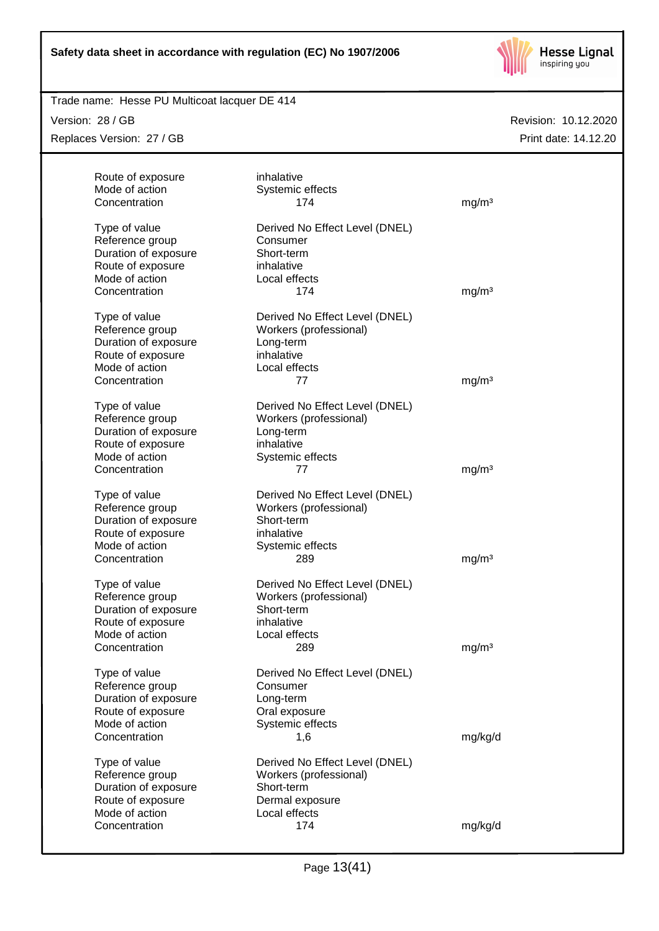

### Trade name: Hesse PU Multicoat lacquer DE 414

Version: 28 / GB Replaces Version: 27 / GB

| Route of exposure<br>Mode of action<br>Concentration                                                             | inhalative<br>Systemic effects<br>174                                                                             | mg/m <sup>3</sup> |
|------------------------------------------------------------------------------------------------------------------|-------------------------------------------------------------------------------------------------------------------|-------------------|
| Type of value<br>Reference group<br>Duration of exposure<br>Route of exposure<br>Mode of action<br>Concentration | Derived No Effect Level (DNEL)<br>Consumer<br>Short-term<br>inhalative<br>Local effects<br>174                    | mg/m <sup>3</sup> |
| Type of value<br>Reference group<br>Duration of exposure<br>Route of exposure<br>Mode of action<br>Concentration | Derived No Effect Level (DNEL)<br>Workers (professional)<br>Long-term<br>inhalative<br>Local effects<br>77        | mg/m <sup>3</sup> |
| Type of value<br>Reference group<br>Duration of exposure<br>Route of exposure<br>Mode of action<br>Concentration | Derived No Effect Level (DNEL)<br>Workers (professional)<br>Long-term<br>inhalative<br>Systemic effects<br>77     | mg/m <sup>3</sup> |
| Type of value<br>Reference group<br>Duration of exposure<br>Route of exposure<br>Mode of action<br>Concentration | Derived No Effect Level (DNEL)<br>Workers (professional)<br>Short-term<br>inhalative<br>Systemic effects<br>289   | mg/m <sup>3</sup> |
| Type of value<br>Reference group<br>Duration of exposure<br>Route of exposure<br>Mode of action<br>Concentration | Derived No Effect Level (DNEL)<br>Workers (professional)<br>Short-term<br>inhalative<br>Local effects<br>289      | mg/m <sup>3</sup> |
| Type of value<br>Reference group<br>Duration of exposure<br>Route of exposure<br>Mode of action<br>Concentration | Derived No Effect Level (DNEL)<br>Consumer<br>Long-term<br>Oral exposure<br>Systemic effects<br>1,6               | mg/kg/d           |
| Type of value<br>Reference group<br>Duration of exposure<br>Route of exposure<br>Mode of action<br>Concentration | Derived No Effect Level (DNEL)<br>Workers (professional)<br>Short-term<br>Dermal exposure<br>Local effects<br>174 | mg/kg/d           |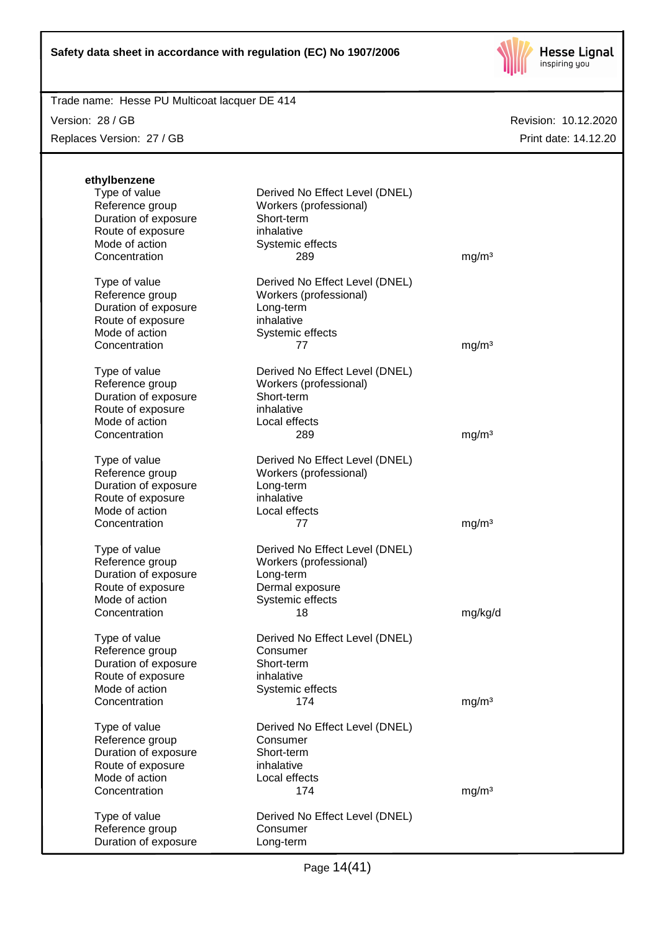

Trade name: Hesse PU Multicoat lacquer DE 414

Version: 28 / GB

Replaces Version: 27 / GB

| ethylbenzene         |                                                          |                   |
|----------------------|----------------------------------------------------------|-------------------|
| Type of value        | Derived No Effect Level (DNEL)                           |                   |
| Reference group      | Workers (professional)                                   |                   |
| Duration of exposure | Short-term                                               |                   |
| Route of exposure    | inhalative                                               |                   |
| Mode of action       | Systemic effects                                         |                   |
| Concentration        | 289                                                      | mg/m <sup>3</sup> |
|                      |                                                          |                   |
| Type of value        | Derived No Effect Level (DNEL)                           |                   |
| Reference group      | Workers (professional)                                   |                   |
| Duration of exposure | Long-term                                                |                   |
| Route of exposure    | inhalative                                               |                   |
| Mode of action       | Systemic effects                                         |                   |
| Concentration        | 77                                                       | mg/m <sup>3</sup> |
|                      |                                                          |                   |
| Type of value        | Derived No Effect Level (DNEL)                           |                   |
| Reference group      | Workers (professional)                                   |                   |
| Duration of exposure | Short-term                                               |                   |
| Route of exposure    | inhalative                                               |                   |
| Mode of action       | Local effects                                            |                   |
| Concentration        | 289                                                      | mg/m <sup>3</sup> |
| Type of value        | Derived No Effect Level (DNEL)                           |                   |
| Reference group      | Workers (professional)                                   |                   |
| Duration of exposure | Long-term                                                |                   |
| Route of exposure    | inhalative                                               |                   |
| Mode of action       | Local effects                                            |                   |
| Concentration        | 77                                                       | mg/m <sup>3</sup> |
| Type of value        |                                                          |                   |
| Reference group      | Derived No Effect Level (DNEL)<br>Workers (professional) |                   |
| Duration of exposure | Long-term                                                |                   |
| Route of exposure    | Dermal exposure                                          |                   |
| Mode of action       | Systemic effects                                         |                   |
| Concentration        | 18                                                       | mg/kg/d           |
|                      |                                                          |                   |
| Type of value        | Derived No Effect Level (DNEL)                           |                   |
| Reference group      | Consumer                                                 |                   |
| Duration of exposure | Short-term                                               |                   |
| Route of exposure    | inhalative                                               |                   |
| Mode of action       | Systemic effects                                         |                   |
| Concentration        | 174                                                      | mg/m <sup>3</sup> |
| Type of value        | Derived No Effect Level (DNEL)                           |                   |
| Reference group      | Consumer                                                 |                   |
| Duration of exposure | Short-term                                               |                   |
| Route of exposure    | inhalative                                               |                   |
| Mode of action       | Local effects                                            |                   |
| Concentration        | 174                                                      | mg/m <sup>3</sup> |
|                      |                                                          |                   |
| Type of value        | Derived No Effect Level (DNEL)                           |                   |
| Reference group      | Consumer                                                 |                   |
| Duration of exposure | Long-term                                                |                   |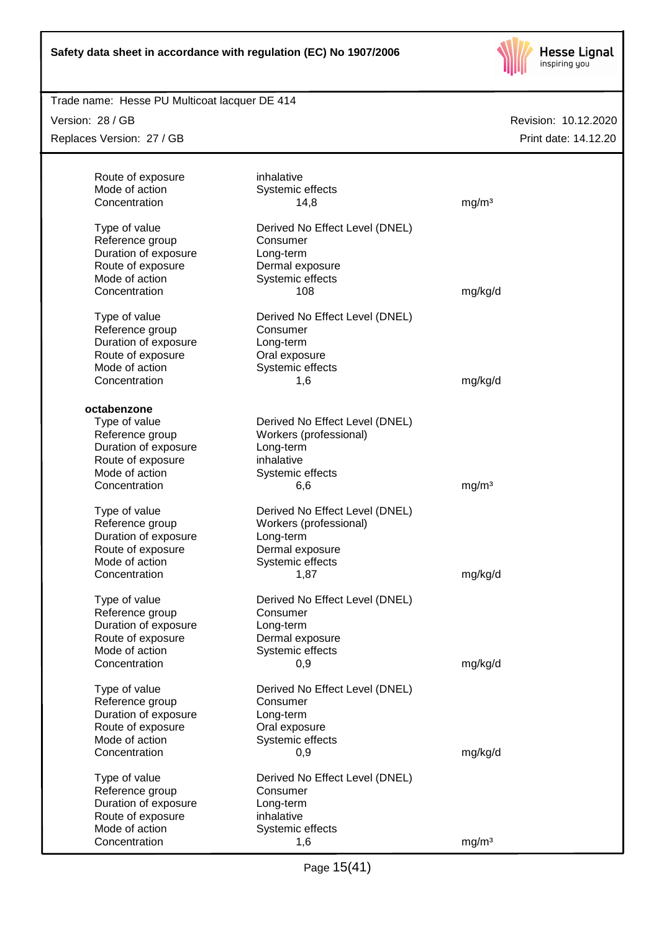

### Trade name: Hesse PU Multicoat lacquer DE 414

Version: 28 / GB Replaces Version: 27 / GB

| Route of exposure<br>Mode of action | inhalative                     |                   |
|-------------------------------------|--------------------------------|-------------------|
| Concentration                       | Systemic effects               |                   |
|                                     | 14,8                           | mg/m <sup>3</sup> |
| Type of value                       | Derived No Effect Level (DNEL) |                   |
| Reference group                     | Consumer                       |                   |
| Duration of exposure                | Long-term                      |                   |
| Route of exposure                   | Dermal exposure                |                   |
| Mode of action                      | Systemic effects               |                   |
| Concentration                       | 108                            | mg/kg/d           |
| Type of value                       | Derived No Effect Level (DNEL) |                   |
| Reference group                     | Consumer                       |                   |
| Duration of exposure                | Long-term                      |                   |
| Route of exposure                   | Oral exposure                  |                   |
| Mode of action                      | Systemic effects               |                   |
| Concentration                       | 1,6                            | mg/kg/d           |
|                                     |                                |                   |
| octabenzone                         |                                |                   |
| Type of value                       | Derived No Effect Level (DNEL) |                   |
| Reference group                     | Workers (professional)         |                   |
| Duration of exposure                | Long-term                      |                   |
| Route of exposure                   | inhalative                     |                   |
| Mode of action                      | Systemic effects               |                   |
| Concentration                       | 6,6                            | mg/m <sup>3</sup> |
| Type of value                       | Derived No Effect Level (DNEL) |                   |
| Reference group                     | Workers (professional)         |                   |
| Duration of exposure                | Long-term                      |                   |
| Route of exposure                   | Dermal exposure                |                   |
| Mode of action                      | Systemic effects               |                   |
| Concentration                       | 1,87                           | mg/kg/d           |
| Type of value                       | Derived No Effect Level (DNEL) |                   |
| Reference group                     | Consumer                       |                   |
| Duration of exposure                | Long-term                      |                   |
| Route of exposure                   | Dermal exposure                |                   |
| Mode of action                      | Systemic effects               |                   |
| Concentration                       | 0,9                            | mg/kg/d           |
|                                     |                                |                   |
| Type of value                       | Derived No Effect Level (DNEL) |                   |
| Reference group                     | Consumer                       |                   |
| Duration of exposure                | Long-term                      |                   |
| Route of exposure                   | Oral exposure                  |                   |
| Mode of action                      | Systemic effects               |                   |
| Concentration                       | 0,9                            | mg/kg/d           |
| Type of value                       | Derived No Effect Level (DNEL) |                   |
| Reference group                     | Consumer                       |                   |
| Duration of exposure                | Long-term                      |                   |
| Route of exposure                   | inhalative                     |                   |
| Mode of action                      | Systemic effects               |                   |
| Concentration                       | 1,6                            | mg/m <sup>3</sup> |
|                                     |                                |                   |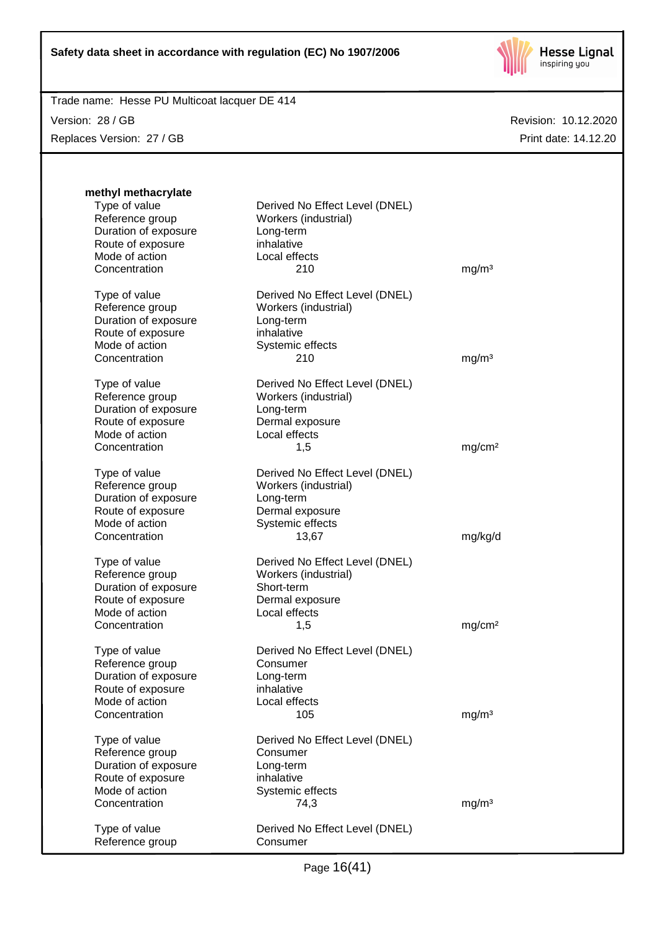

Version: 28 / GB Replaces Version: 27 / GB

| methyl methacrylate<br>Type of value<br>Reference group<br>Duration of exposure<br>Route of exposure | Derived No Effect Level (DNEL)<br>Workers (industrial)<br>Long-term<br>inhalative |                    |
|------------------------------------------------------------------------------------------------------|-----------------------------------------------------------------------------------|--------------------|
| Mode of action                                                                                       | Local effects                                                                     |                    |
| Concentration                                                                                        | 210                                                                               | mg/m <sup>3</sup>  |
| Type of value<br>Reference group                                                                     | Derived No Effect Level (DNEL)<br>Workers (industrial)                            |                    |
| Duration of exposure<br>Route of exposure                                                            | Long-term<br>inhalative                                                           |                    |
| Mode of action                                                                                       | Systemic effects                                                                  |                    |
| Concentration                                                                                        | 210                                                                               | mg/m <sup>3</sup>  |
| Type of value<br>Reference group                                                                     | Derived No Effect Level (DNEL)<br>Workers (industrial)                            |                    |
| Duration of exposure                                                                                 | Long-term                                                                         |                    |
| Route of exposure<br>Mode of action                                                                  | Dermal exposure                                                                   |                    |
| Concentration                                                                                        | Local effects<br>1,5                                                              | mg/cm <sup>2</sup> |
|                                                                                                      |                                                                                   |                    |
| Type of value<br>Reference group                                                                     | Derived No Effect Level (DNEL)<br>Workers (industrial)                            |                    |
| Duration of exposure                                                                                 | Long-term                                                                         |                    |
| Route of exposure                                                                                    | Dermal exposure                                                                   |                    |
| Mode of action                                                                                       | Systemic effects                                                                  |                    |
| Concentration                                                                                        | 13,67                                                                             | mg/kg/d            |
| Type of value                                                                                        | Derived No Effect Level (DNEL)                                                    |                    |
| Reference group                                                                                      | Workers (industrial)                                                              |                    |
| Duration of exposure                                                                                 | Short-term                                                                        |                    |
| Route of exposure                                                                                    | Dermal exposure                                                                   |                    |
| Mode of action                                                                                       | Local effects                                                                     |                    |
| Concentration                                                                                        | 1,5                                                                               | mg/cm <sup>2</sup> |
| Type of value                                                                                        | Derived No Effect Level (DNEL)                                                    |                    |
| Reference group                                                                                      | Consumer                                                                          |                    |
| Duration of exposure                                                                                 | Long-term                                                                         |                    |
| Route of exposure                                                                                    | inhalative                                                                        |                    |
| Mode of action                                                                                       | Local effects                                                                     |                    |
| Concentration                                                                                        | 105                                                                               | mg/m <sup>3</sup>  |
| Type of value                                                                                        | Derived No Effect Level (DNEL)                                                    |                    |
| Reference group                                                                                      | Consumer                                                                          |                    |
| Duration of exposure                                                                                 | Long-term<br>inhalative                                                           |                    |
| Route of exposure<br>Mode of action                                                                  | Systemic effects                                                                  |                    |
| Concentration                                                                                        | 74,3                                                                              | mg/m <sup>3</sup>  |
|                                                                                                      |                                                                                   |                    |
| Type of value<br>Reference group                                                                     | Derived No Effect Level (DNEL)<br>Consumer                                        |                    |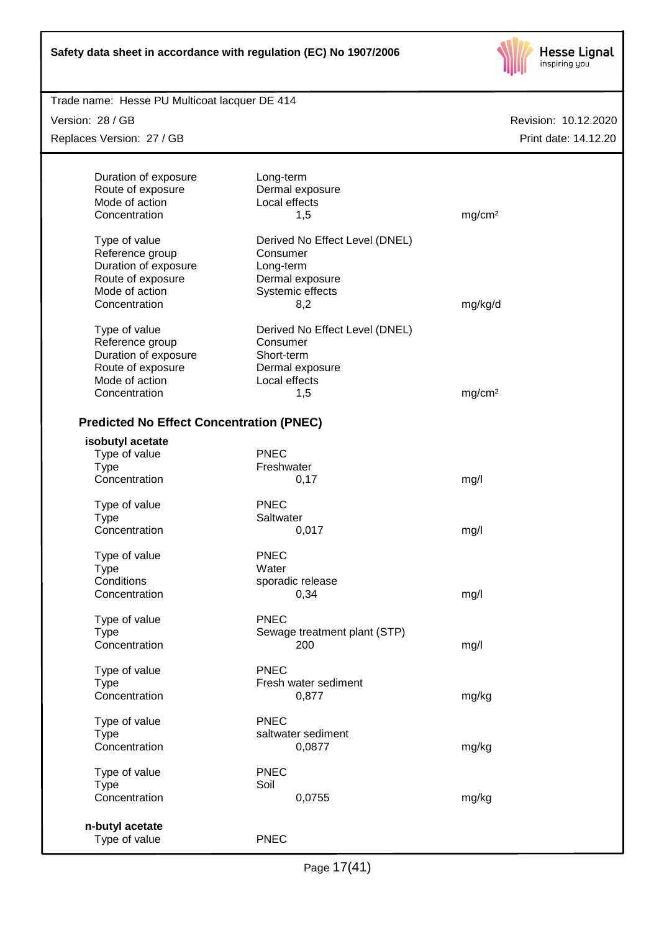

| Trade name: Hesse PU Multicoat lacquer DE 414   |                                |                      |
|-------------------------------------------------|--------------------------------|----------------------|
| Version: 28 / GB                                |                                | Revision: 10.12.2020 |
| Replaces Version: 27 / GB                       |                                | Print date: 14.12.20 |
|                                                 |                                |                      |
| Duration of exposure                            | Long-term                      |                      |
| Route of exposure                               | Dermal exposure                |                      |
| Mode of action                                  | Local effects                  |                      |
| Concentration                                   | 1,5                            | mg/cm <sup>2</sup>   |
|                                                 |                                |                      |
| Type of value                                   | Derived No Effect Level (DNEL) |                      |
| Reference group                                 | Consumer                       |                      |
| Duration of exposure                            | Long-term                      |                      |
| Route of exposure                               | Dermal exposure                |                      |
| Mode of action                                  | Systemic effects               |                      |
| Concentration                                   | 8,2                            | mg/kg/d              |
|                                                 |                                |                      |
| Type of value                                   | Derived No Effect Level (DNEL) |                      |
| Reference group                                 | Consumer                       |                      |
| Duration of exposure                            | Short-term                     |                      |
| Route of exposure                               | Dermal exposure                |                      |
| Mode of action                                  | Local effects                  |                      |
| Concentration                                   | 1,5                            | mg/cm <sup>2</sup>   |
|                                                 |                                |                      |
| <b>Predicted No Effect Concentration (PNEC)</b> |                                |                      |
|                                                 |                                |                      |
| isobutyl acetate                                |                                |                      |
| Type of value                                   | <b>PNEC</b>                    |                      |
| <b>Type</b>                                     | Freshwater                     |                      |
| Concentration                                   | 0,17                           | mg/l                 |
|                                                 |                                |                      |
| Type of value                                   | <b>PNEC</b>                    |                      |
| <b>Type</b>                                     | Saltwater                      |                      |
| Concentration                                   | 0,017                          | mg/l                 |
|                                                 |                                |                      |
| Type of value                                   | <b>PNEC</b>                    |                      |
| <b>Type</b>                                     | Water                          |                      |
| Conditions                                      | sporadic release               |                      |
| Concentration                                   | 0,34                           | mg/l                 |
|                                                 |                                |                      |
| Type of value                                   | <b>PNEC</b>                    |                      |
| <b>Type</b>                                     | Sewage treatment plant (STP)   |                      |
| Concentration                                   | 200                            | mg/l                 |
|                                                 |                                |                      |
| Type of value                                   | <b>PNEC</b>                    |                      |
| <b>Type</b>                                     | Fresh water sediment           |                      |
| Concentration                                   | 0,877                          | mg/kg                |
|                                                 |                                |                      |
| Type of value                                   | <b>PNEC</b>                    |                      |
| <b>Type</b>                                     | saltwater sediment             |                      |
| Concentration                                   | 0,0877                         | mg/kg                |
|                                                 |                                |                      |
| Type of value                                   | <b>PNEC</b>                    |                      |
| <b>Type</b>                                     | Soil                           |                      |
| Concentration                                   | 0,0755                         | mg/kg                |
|                                                 |                                |                      |
| n-butyl acetate                                 |                                |                      |
| Type of value                                   | <b>PNEC</b>                    |                      |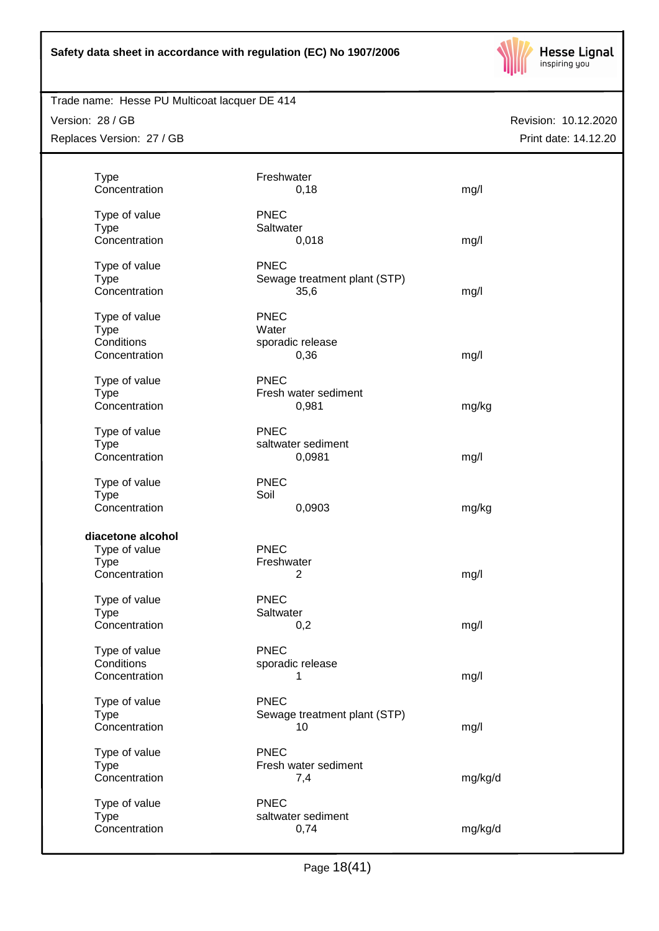

# Trade name: Hesse PU Multicoat lacquer DE 414

Version: 28 / GB Replaces Version: 27 / GB

| <b>Type</b><br>Freshwater<br>Concentration<br>0,18                                                              | mg/l                                 |
|-----------------------------------------------------------------------------------------------------------------|--------------------------------------|
| <b>PNEC</b><br>Type of value<br><b>Type</b><br>Saltwater<br>Concentration<br>0,018                              | mg/l                                 |
| <b>PNEC</b><br>Type of value<br><b>Type</b><br>Concentration<br>35,6                                            | Sewage treatment plant (STP)<br>mg/l |
| <b>PNEC</b><br>Type of value<br><b>Type</b><br>Water<br>Conditions<br>sporadic release<br>Concentration<br>0,36 | mg/l                                 |
| <b>PNEC</b><br>Type of value<br><b>Type</b><br>Fresh water sediment                                             |                                      |
| Concentration<br>0,981                                                                                          | mg/kg                                |
| <b>PNEC</b><br>Type of value<br><b>Type</b><br>saltwater sediment<br>Concentration<br>0,0981                    | mg/l                                 |
| <b>PNEC</b><br>Type of value<br>Soil<br><b>Type</b><br>Concentration<br>0,0903                                  | mg/kg                                |
|                                                                                                                 |                                      |
| diacetone alcohol<br>Type of value<br><b>PNEC</b><br><b>Type</b><br>Freshwater<br>Concentration<br>2            | mg/l                                 |
| <b>PNEC</b><br>Type of value<br><b>Type</b><br>Saltwater<br>Concentration                                       |                                      |
| 0,2<br><b>PNEC</b><br>Type of value                                                                             | mg/l                                 |
| Conditions<br>sporadic release<br>Concentration<br>1                                                            | mg/l                                 |
| <b>PNEC</b><br>Type of value<br><b>Type</b><br>Concentration<br>10                                              | Sewage treatment plant (STP)<br>mg/l |
| <b>PNEC</b><br>Type of value<br>Fresh water sediment<br><b>Type</b><br>Concentration<br>7,4                     | mg/kg/d                              |
| <b>PNEC</b><br>Type of value<br>saltwater sediment<br><b>Type</b><br>Concentration<br>0,74                      | mg/kg/d                              |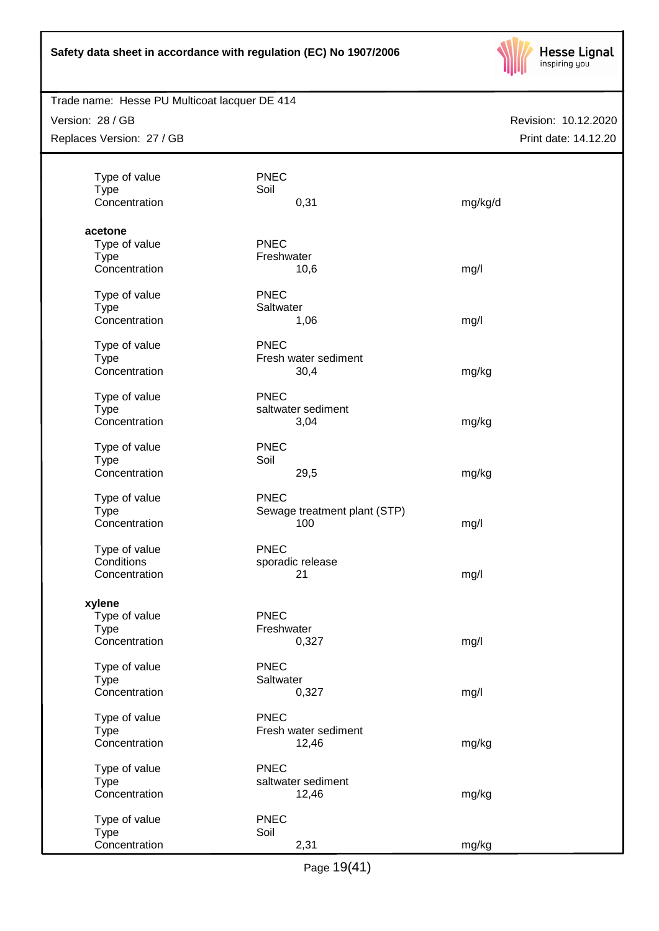

Trade name: Hesse PU Multicoat lacquer DE 414

Version: 28 / GB Replaces Version: 27 / GB

| Type of value                | <b>PNEC</b>                  |         |
|------------------------------|------------------------------|---------|
| <b>Type</b>                  | Soil                         |         |
| Concentration                | 0,31                         | mg/kg/d |
| acetone                      |                              |         |
| Type of value                | <b>PNEC</b>                  |         |
| <b>Type</b>                  | Freshwater                   |         |
| Concentration                | 10,6                         | mg/l    |
| Type of value                | <b>PNEC</b>                  |         |
| <b>Type</b>                  | Saltwater                    |         |
| Concentration                |                              |         |
|                              | 1,06                         | mg/l    |
| Type of value                | <b>PNEC</b>                  |         |
| <b>Type</b>                  | Fresh water sediment         |         |
| Concentration                | 30,4                         | mg/kg   |
| Type of value                | <b>PNEC</b>                  |         |
| <b>Type</b>                  | saltwater sediment           |         |
| Concentration                | 3,04                         | mg/kg   |
|                              |                              |         |
| Type of value                | <b>PNEC</b>                  |         |
| <b>Type</b>                  | Soil                         |         |
| Concentration                | 29,5                         | mg/kg   |
| Type of value                | <b>PNEC</b>                  |         |
| <b>Type</b>                  | Sewage treatment plant (STP) |         |
| Concentration                | 100                          | mg/l    |
| Type of value                | <b>PNEC</b>                  |         |
| Conditions                   | sporadic release             |         |
| Concentration                | 21                           | mg/l    |
|                              |                              |         |
| xylene                       |                              |         |
| Type of value                | <b>PNEC</b>                  |         |
| <b>Type</b>                  | Freshwater                   |         |
| Concentration                | 0,327                        | mg/l    |
| Type of value                | <b>PNEC</b>                  |         |
| <b>Type</b>                  | Saltwater                    |         |
| Concentration                | 0,327                        | mg/l    |
|                              | <b>PNEC</b>                  |         |
| Type of value<br><b>Type</b> | Fresh water sediment         |         |
| Concentration                | 12,46                        | mg/kg   |
|                              |                              |         |
| Type of value                | <b>PNEC</b>                  |         |
| <b>Type</b>                  | saltwater sediment           |         |
| Concentration                | 12,46                        | mg/kg   |
| Type of value                | <b>PNEC</b>                  |         |
| <b>Type</b>                  | Soil                         |         |
| Concentration                | 2,31                         | mg/kg   |
|                              |                              |         |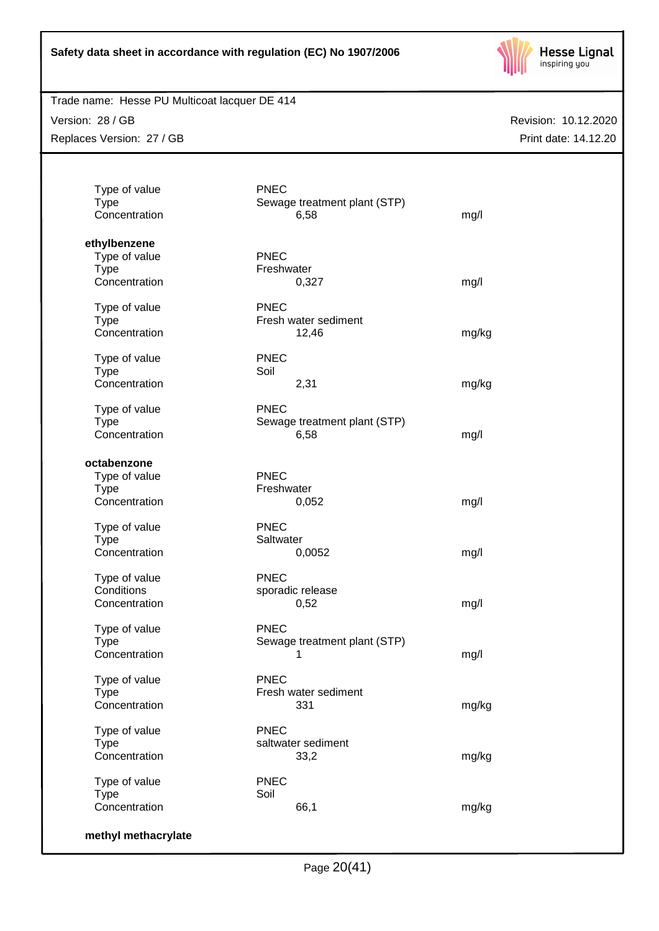

# Trade name: Hesse PU Multicoat lacquer DE 414

Version: 28 / GB Replaces Version: 27 / GB

| Sewage treatment plant (STP)<br>6,58<br><b>PNEC</b><br>Freshwater<br>0,327<br><b>PNEC</b><br>Fresh water sediment<br>12,46<br><b>PNEC</b><br>Soil<br>2,31<br><b>PNEC</b><br>Sewage treatment plant (STP)<br>6,58<br><b>PNEC</b><br>Freshwater | mg/l<br>mg/l<br>mg/kg<br>mg/kg<br>mg/l                                                                              |
|-----------------------------------------------------------------------------------------------------------------------------------------------------------------------------------------------------------------------------------------------|---------------------------------------------------------------------------------------------------------------------|
|                                                                                                                                                                                                                                               |                                                                                                                     |
|                                                                                                                                                                                                                                               |                                                                                                                     |
|                                                                                                                                                                                                                                               |                                                                                                                     |
|                                                                                                                                                                                                                                               |                                                                                                                     |
|                                                                                                                                                                                                                                               |                                                                                                                     |
|                                                                                                                                                                                                                                               |                                                                                                                     |
|                                                                                                                                                                                                                                               |                                                                                                                     |
|                                                                                                                                                                                                                                               |                                                                                                                     |
|                                                                                                                                                                                                                                               |                                                                                                                     |
|                                                                                                                                                                                                                                               |                                                                                                                     |
|                                                                                                                                                                                                                                               |                                                                                                                     |
|                                                                                                                                                                                                                                               |                                                                                                                     |
|                                                                                                                                                                                                                                               |                                                                                                                     |
|                                                                                                                                                                                                                                               |                                                                                                                     |
|                                                                                                                                                                                                                                               |                                                                                                                     |
|                                                                                                                                                                                                                                               |                                                                                                                     |
|                                                                                                                                                                                                                                               |                                                                                                                     |
|                                                                                                                                                                                                                                               |                                                                                                                     |
|                                                                                                                                                                                                                                               |                                                                                                                     |
|                                                                                                                                                                                                                                               |                                                                                                                     |
|                                                                                                                                                                                                                                               |                                                                                                                     |
|                                                                                                                                                                                                                                               | mg/l                                                                                                                |
| <b>PNEC</b>                                                                                                                                                                                                                                   |                                                                                                                     |
|                                                                                                                                                                                                                                               |                                                                                                                     |
| 0,0052                                                                                                                                                                                                                                        | mg/l                                                                                                                |
|                                                                                                                                                                                                                                               |                                                                                                                     |
|                                                                                                                                                                                                                                               |                                                                                                                     |
|                                                                                                                                                                                                                                               | mg/l                                                                                                                |
|                                                                                                                                                                                                                                               |                                                                                                                     |
| <b>PNEC</b>                                                                                                                                                                                                                                   |                                                                                                                     |
| Sewage treatment plant (STP)                                                                                                                                                                                                                  |                                                                                                                     |
| 1                                                                                                                                                                                                                                             | mg/l                                                                                                                |
|                                                                                                                                                                                                                                               |                                                                                                                     |
|                                                                                                                                                                                                                                               |                                                                                                                     |
|                                                                                                                                                                                                                                               | mg/kg                                                                                                               |
|                                                                                                                                                                                                                                               |                                                                                                                     |
| <b>PNEC</b>                                                                                                                                                                                                                                   |                                                                                                                     |
| saltwater sediment                                                                                                                                                                                                                            |                                                                                                                     |
| 33,2                                                                                                                                                                                                                                          | mg/kg                                                                                                               |
| <b>PNEC</b>                                                                                                                                                                                                                                   |                                                                                                                     |
| Soil                                                                                                                                                                                                                                          |                                                                                                                     |
|                                                                                                                                                                                                                                               | mg/kg                                                                                                               |
|                                                                                                                                                                                                                                               | 0,052<br>Saltwater<br><b>PNEC</b><br>sporadic release<br>0,52<br><b>PNEC</b><br>Fresh water sediment<br>331<br>66,1 |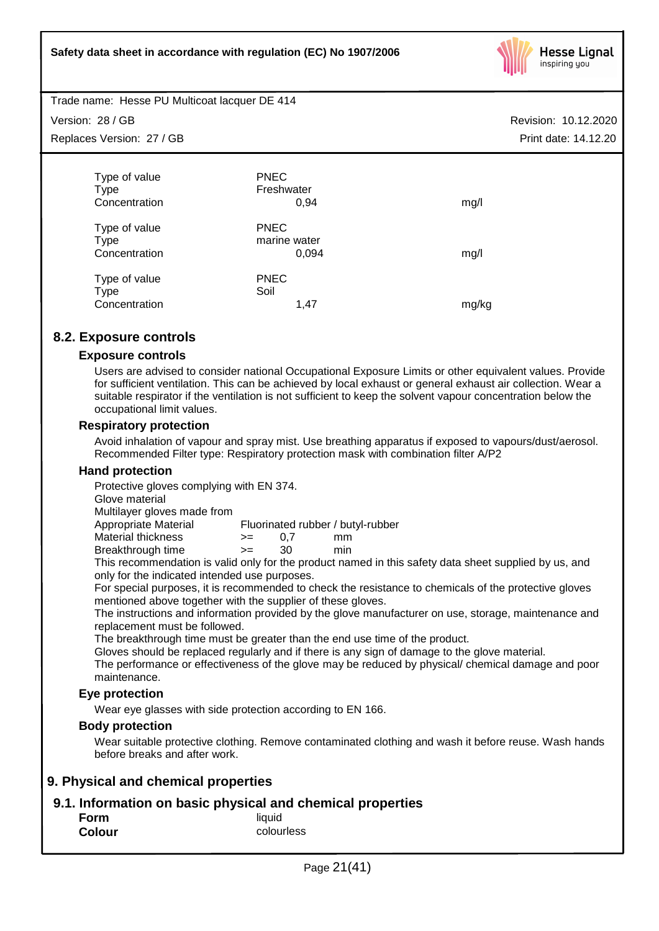

Trade name: Hesse PU Multicoat lacquer DE 414

Version: 28 / GB

Replaces Version: 27 / GB

| Type of value<br><b>Type</b>                  | <b>PNEC</b><br>Freshwater            |       |
|-----------------------------------------------|--------------------------------------|-------|
| Concentration                                 | 0,94                                 | mg/l  |
| Type of value<br><b>Type</b><br>Concentration | <b>PNEC</b><br>marine water<br>0,094 | mg/l  |
| Type of value<br><b>Type</b>                  | <b>PNEC</b><br>Soil                  |       |
| Concentration                                 | 1,47                                 | mg/kg |

# **8.2. Exposure controls**

# **Exposure controls**

Users are advised to consider national Occupational Exposure Limits or other equivalent values. Provide for sufficient ventilation. This can be achieved by local exhaust or general exhaust air collection. Wear a suitable respirator if the ventilation is not sufficient to keep the solvent vapour concentration below the occupational limit values.

# **Respiratory protection**

Avoid inhalation of vapour and spray mist. Use breathing apparatus if exposed to vapours/dust/aerosol. Recommended Filter type: Respiratory protection mask with combination filter A/P2

### **Hand protection**

Protective gloves complying with EN 374.

Glove material

Multilayer gloves made from

Appropriate Material Fluorinated rubber / butyl-rubber

Material thickness  $\rightarrow$  = 0.7 mm Breakthrough time >= 30 min

This recommendation is valid only for the product named in this safety data sheet supplied by us, and only for the indicated intended use purposes.

For special purposes, it is recommended to check the resistance to chemicals of the protective gloves mentioned above together with the supplier of these gloves.

The instructions and information provided by the glove manufacturer on use, storage, maintenance and replacement must be followed.

The breakthrough time must be greater than the end use time of the product.

Gloves should be replaced regularly and if there is any sign of damage to the glove material.

The performance or effectiveness of the glove may be reduced by physical/ chemical damage and poor maintenance.

# **Eye protection**

Wear eye glasses with side protection according to EN 166.

### **Body protection**

Wear suitable protective clothing. Remove contaminated clothing and wash it before reuse. Wash hands before breaks and after work.

# **9. Physical and chemical properties**

# **9.1. Information on basic physical and chemical properties**

| Form          | liquid     |
|---------------|------------|
| <b>Colour</b> | colourless |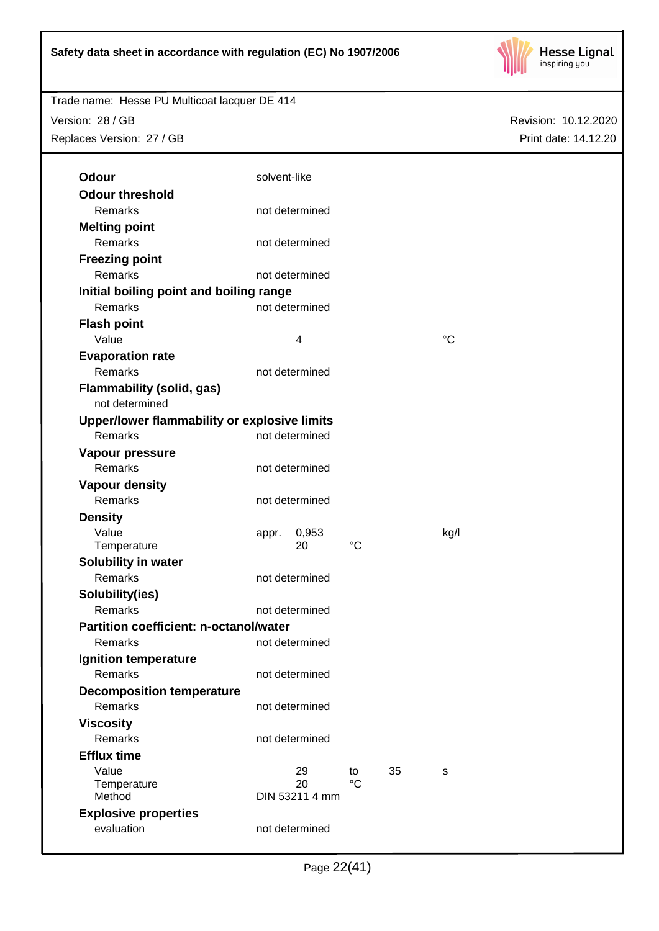

Trade name: Hesse PU Multicoat lacquer DE 414 Version: 28 / GB

Replaces Version: 27 / GB

| Odour                                         | solvent-like         |             |    |                 |
|-----------------------------------------------|----------------------|-------------|----|-----------------|
| <b>Odour threshold</b>                        |                      |             |    |                 |
| Remarks                                       | not determined       |             |    |                 |
| <b>Melting point</b>                          |                      |             |    |                 |
| Remarks                                       | not determined       |             |    |                 |
| <b>Freezing point</b>                         |                      |             |    |                 |
| Remarks                                       | not determined       |             |    |                 |
| Initial boiling point and boiling range       |                      |             |    |                 |
| Remarks                                       | not determined       |             |    |                 |
| <b>Flash point</b>                            |                      |             |    |                 |
| Value                                         | $\overline{4}$       |             |    | $\rm ^{\circ}C$ |
| <b>Evaporation rate</b>                       |                      |             |    |                 |
| Remarks                                       | not determined       |             |    |                 |
| <b>Flammability (solid, gas)</b>              |                      |             |    |                 |
| not determined                                |                      |             |    |                 |
| Upper/lower flammability or explosive limits  |                      |             |    |                 |
| Remarks                                       | not determined       |             |    |                 |
| Vapour pressure                               |                      |             |    |                 |
| Remarks                                       | not determined       |             |    |                 |
| <b>Vapour density</b>                         |                      |             |    |                 |
| Remarks                                       | not determined       |             |    |                 |
| <b>Density</b>                                |                      |             |    |                 |
| Value                                         | 0,953<br>appr.       |             |    | kg/l            |
| Temperature                                   | 20                   | $^{\circ}C$ |    |                 |
| Solubility in water                           |                      |             |    |                 |
| Remarks                                       | not determined       |             |    |                 |
| Solubility(ies)                               |                      |             |    |                 |
| Remarks                                       | not determined       |             |    |                 |
| <b>Partition coefficient: n-octanol/water</b> |                      |             |    |                 |
| Remarks                                       | not determined       |             |    |                 |
| Ignition temperature                          |                      |             |    |                 |
| Remarks                                       | not determined       |             |    |                 |
| <b>Decomposition temperature</b>              |                      |             |    |                 |
| Remarks                                       | not determined       |             |    |                 |
| <b>Viscosity</b>                              |                      |             |    |                 |
| <b>Remarks</b>                                | not determined       |             |    |                 |
| <b>Efflux time</b>                            |                      |             |    |                 |
| Value                                         | 29                   | to          | 35 | s               |
| Temperature<br>Method                         | 20<br>DIN 53211 4 mm | $^{\circ}C$ |    |                 |
| <b>Explosive properties</b>                   |                      |             |    |                 |
| evaluation                                    | not determined       |             |    |                 |
|                                               |                      |             |    |                 |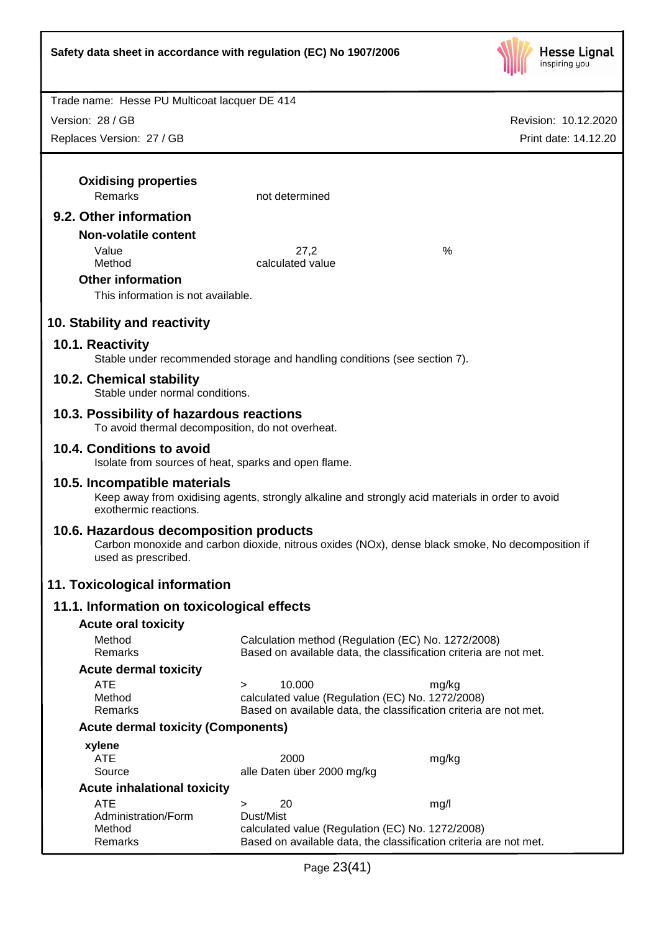

Revision: 10.12.2020

Trade name: Hesse PU Multicoat lacquer DE 414

Version: 28 / GB

| Replaces Version: 27 / GB                                                                    |                                                                           | Print date: 14.12.20                                                                             |
|----------------------------------------------------------------------------------------------|---------------------------------------------------------------------------|--------------------------------------------------------------------------------------------------|
|                                                                                              |                                                                           |                                                                                                  |
| <b>Oxidising properties</b>                                                                  |                                                                           |                                                                                                  |
| Remarks                                                                                      | not determined                                                            |                                                                                                  |
| 9.2. Other information                                                                       |                                                                           |                                                                                                  |
| <b>Non-volatile content</b>                                                                  |                                                                           |                                                                                                  |
| Value<br>Method                                                                              | 27,2<br>calculated value                                                  | %                                                                                                |
| <b>Other information</b>                                                                     |                                                                           |                                                                                                  |
| This information is not available.                                                           |                                                                           |                                                                                                  |
| 10. Stability and reactivity                                                                 |                                                                           |                                                                                                  |
| 10.1. Reactivity                                                                             | Stable under recommended storage and handling conditions (see section 7). |                                                                                                  |
| 10.2. Chemical stability<br>Stable under normal conditions.                                  |                                                                           |                                                                                                  |
| 10.3. Possibility of hazardous reactions<br>To avoid thermal decomposition, do not overheat. |                                                                           |                                                                                                  |
| 10.4. Conditions to avoid                                                                    | Isolate from sources of heat, sparks and open flame.                      |                                                                                                  |
| 10.5. Incompatible materials<br>exothermic reactions.                                        |                                                                           | Keep away from oxidising agents, strongly alkaline and strongly acid materials in order to avoid |
| 10.6. Hazardous decomposition products<br>used as prescribed.                                |                                                                           | Carbon monoxide and carbon dioxide, nitrous oxides (NOx), dense black smoke, No decomposition if |
| 11. Toxicological information                                                                |                                                                           |                                                                                                  |
| 11.1. Information on toxicological effects                                                   |                                                                           |                                                                                                  |
| <b>Acute oral toxicity</b>                                                                   |                                                                           |                                                                                                  |
| Method<br>Remarks                                                                            | Calculation method (Regulation (EC) No. 1272/2008)                        | Based on available data, the classification criteria are not met.                                |
| <b>Acute dermal toxicity</b>                                                                 |                                                                           |                                                                                                  |
| <b>ATE</b>                                                                                   | 10.000<br>$\geq$                                                          | mg/kg                                                                                            |
| Method<br>Remarks                                                                            | calculated value (Regulation (EC) No. 1272/2008)                          | Based on available data, the classification criteria are not met.                                |
| <b>Acute dermal toxicity (Components)</b>                                                    |                                                                           |                                                                                                  |
| xylene                                                                                       |                                                                           |                                                                                                  |
| <b>ATE</b><br>Source                                                                         | 2000<br>alle Daten über 2000 mg/kg                                        | mg/kg                                                                                            |
| <b>Acute inhalational toxicity</b>                                                           |                                                                           |                                                                                                  |
| <b>ATE</b>                                                                                   | 20<br>$\geq$                                                              | mg/l                                                                                             |
| Administration/Form                                                                          | Dust/Mist                                                                 |                                                                                                  |
| Method                                                                                       | calculated value (Regulation (EC) No. 1272/2008)                          |                                                                                                  |
| Remarks                                                                                      |                                                                           | Based on available data, the classification criteria are not met.                                |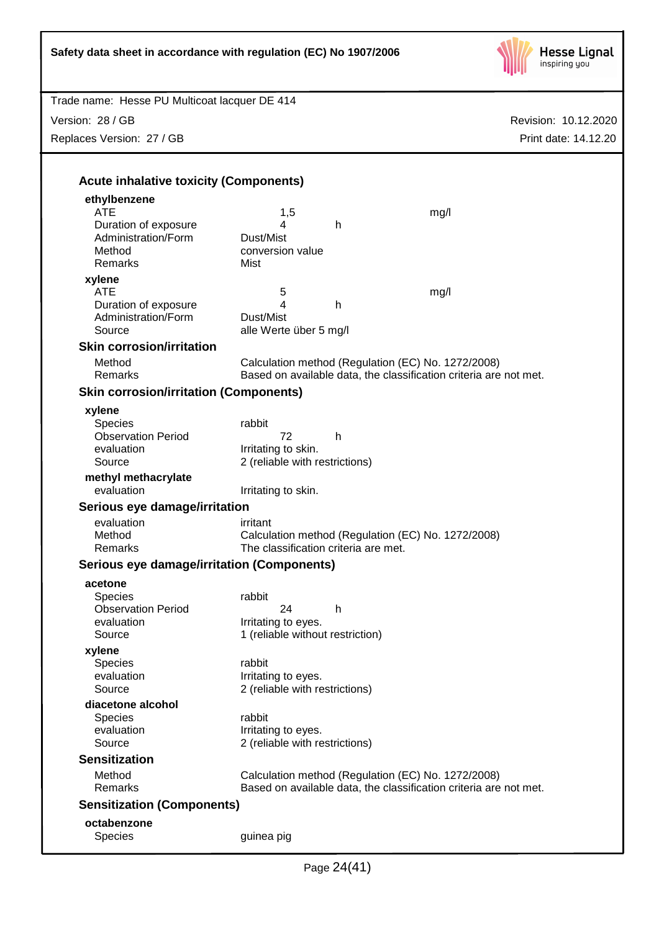

| Trade name: Hesse PU Multicoat lacquer DE 414     |                                                       |   |                                                                   |                      |
|---------------------------------------------------|-------------------------------------------------------|---|-------------------------------------------------------------------|----------------------|
| Version: 28 / GB                                  |                                                       |   |                                                                   | Revision: 10.12.2020 |
| Replaces Version: 27 / GB                         |                                                       |   |                                                                   | Print date: 14.12.20 |
|                                                   |                                                       |   |                                                                   |                      |
|                                                   |                                                       |   |                                                                   |                      |
| <b>Acute inhalative toxicity (Components)</b>     |                                                       |   |                                                                   |                      |
| ethylbenzene                                      |                                                       |   |                                                                   |                      |
| <b>ATE</b><br>Duration of exposure                | 1,5<br>4                                              | h | mg/l                                                              |                      |
| Administration/Form                               | Dust/Mist                                             |   |                                                                   |                      |
| Method                                            | conversion value                                      |   |                                                                   |                      |
| Remarks                                           | Mist                                                  |   |                                                                   |                      |
| xylene                                            |                                                       |   |                                                                   |                      |
| <b>ATE</b>                                        | 5                                                     |   | mg/l                                                              |                      |
| Duration of exposure                              | 4                                                     | h |                                                                   |                      |
| Administration/Form                               | Dust/Mist                                             |   |                                                                   |                      |
| Source                                            | alle Werte über 5 mg/l                                |   |                                                                   |                      |
| <b>Skin corrosion/irritation</b>                  |                                                       |   |                                                                   |                      |
| Method                                            |                                                       |   | Calculation method (Regulation (EC) No. 1272/2008)                |                      |
| Remarks                                           |                                                       |   | Based on available data, the classification criteria are not met. |                      |
| <b>Skin corrosion/irritation (Components)</b>     |                                                       |   |                                                                   |                      |
| xylene                                            |                                                       |   |                                                                   |                      |
| Species                                           | rabbit                                                |   |                                                                   |                      |
| <b>Observation Period</b>                         | 72                                                    | h |                                                                   |                      |
| evaluation                                        | Irritating to skin.                                   |   |                                                                   |                      |
| Source                                            | 2 (reliable with restrictions)                        |   |                                                                   |                      |
| methyl methacrylate                               |                                                       |   |                                                                   |                      |
| evaluation                                        | Irritating to skin.                                   |   |                                                                   |                      |
| Serious eye damage/irritation                     |                                                       |   |                                                                   |                      |
| evaluation                                        | irritant                                              |   |                                                                   |                      |
| Method                                            |                                                       |   | Calculation method (Regulation (EC) No. 1272/2008)                |                      |
| Remarks                                           | The classification criteria are met.                  |   |                                                                   |                      |
| <b>Serious eye damage/irritation (Components)</b> |                                                       |   |                                                                   |                      |
| acetone                                           |                                                       |   |                                                                   |                      |
| <b>Species</b>                                    | rabbit                                                |   |                                                                   |                      |
| <b>Observation Period</b>                         | 24                                                    | h |                                                                   |                      |
| evaluation                                        | Irritating to eyes.                                   |   |                                                                   |                      |
| Source                                            | 1 (reliable without restriction)                      |   |                                                                   |                      |
| xylene                                            |                                                       |   |                                                                   |                      |
| <b>Species</b><br>evaluation                      | rabbit                                                |   |                                                                   |                      |
| Source                                            | Irritating to eyes.<br>2 (reliable with restrictions) |   |                                                                   |                      |
| diacetone alcohol                                 |                                                       |   |                                                                   |                      |
| <b>Species</b>                                    | rabbit                                                |   |                                                                   |                      |
| evaluation                                        | Irritating to eyes.                                   |   |                                                                   |                      |
| Source                                            | 2 (reliable with restrictions)                        |   |                                                                   |                      |
| <b>Sensitization</b>                              |                                                       |   |                                                                   |                      |
| Method                                            |                                                       |   | Calculation method (Regulation (EC) No. 1272/2008)                |                      |
| Remarks                                           |                                                       |   | Based on available data, the classification criteria are not met. |                      |
| <b>Sensitization (Components)</b>                 |                                                       |   |                                                                   |                      |
| octabenzone                                       |                                                       |   |                                                                   |                      |
| Species                                           | guinea pig                                            |   |                                                                   |                      |
|                                                   |                                                       |   |                                                                   |                      |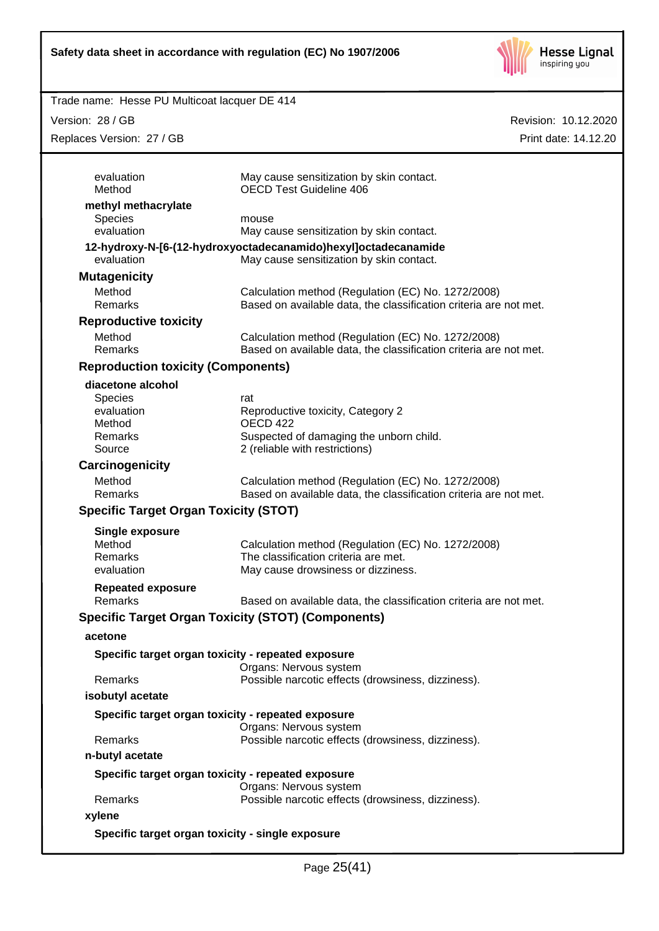

Version: 28 / GB

Repla

| ion: 28 / GB                                       |                                                                                                                         | Revision: 10.12.2020 |
|----------------------------------------------------|-------------------------------------------------------------------------------------------------------------------------|----------------------|
| aces Version: 27 / GB                              |                                                                                                                         | Print date: 14.12.20 |
| evaluation<br>Method                               | May cause sensitization by skin contact.<br><b>OECD Test Guideline 406</b>                                              |                      |
| methyl methacrylate                                |                                                                                                                         |                      |
| <b>Species</b>                                     | mouse                                                                                                                   |                      |
| evaluation                                         | May cause sensitization by skin contact.                                                                                |                      |
| evaluation                                         | 12-hydroxy-N-[6-(12-hydroxyoctadecanamido)hexyl]octadecanamide<br>May cause sensitization by skin contact.              |                      |
| <b>Mutagenicity</b>                                |                                                                                                                         |                      |
| Method                                             | Calculation method (Regulation (EC) No. 1272/2008)                                                                      |                      |
| Remarks                                            | Based on available data, the classification criteria are not met.                                                       |                      |
| <b>Reproductive toxicity</b>                       |                                                                                                                         |                      |
| Method<br>Remarks                                  | Calculation method (Regulation (EC) No. 1272/2008)<br>Based on available data, the classification criteria are not met. |                      |
| <b>Reproduction toxicity (Components)</b>          |                                                                                                                         |                      |
| diacetone alcohol                                  |                                                                                                                         |                      |
| <b>Species</b>                                     | rat                                                                                                                     |                      |
| evaluation                                         | Reproductive toxicity, Category 2                                                                                       |                      |
| Method                                             | OECD <sub>422</sub>                                                                                                     |                      |
| Remarks                                            | Suspected of damaging the unborn child.                                                                                 |                      |
| Source                                             | 2 (reliable with restrictions)                                                                                          |                      |
| Carcinogenicity                                    |                                                                                                                         |                      |
| Method<br>Remarks                                  | Calculation method (Regulation (EC) No. 1272/2008)<br>Based on available data, the classification criteria are not met. |                      |
| <b>Specific Target Organ Toxicity (STOT)</b>       |                                                                                                                         |                      |
| <b>Single exposure</b>                             |                                                                                                                         |                      |
| Method                                             | Calculation method (Regulation (EC) No. 1272/2008)                                                                      |                      |
| Remarks                                            | The classification criteria are met.                                                                                    |                      |
| evaluation                                         | May cause drowsiness or dizziness.                                                                                      |                      |
| <b>Repeated exposure</b><br>Remarks                | Based on available data, the classification criteria are not met.                                                       |                      |
|                                                    | <b>Specific Target Organ Toxicity (STOT) (Components)</b>                                                               |                      |
| acetone                                            |                                                                                                                         |                      |
| Specific target organ toxicity - repeated exposure |                                                                                                                         |                      |
| Remarks                                            | Organs: Nervous system<br>Possible narcotic effects (drowsiness, dizziness).                                            |                      |
| isobutyl acetate                                   |                                                                                                                         |                      |
| Specific target organ toxicity - repeated exposure |                                                                                                                         |                      |
| Remarks                                            | Organs: Nervous system<br>Possible narcotic effects (drowsiness, dizziness).                                            |                      |
| n-butyl acetate                                    |                                                                                                                         |                      |
| Specific target organ toxicity - repeated exposure |                                                                                                                         |                      |
|                                                    | Organs: Nervous system                                                                                                  |                      |
| Remarks                                            | Possible narcotic effects (drowsiness, dizziness).                                                                      |                      |
| xylene                                             |                                                                                                                         |                      |
| Specific target organ toxicity - single exposure   |                                                                                                                         |                      |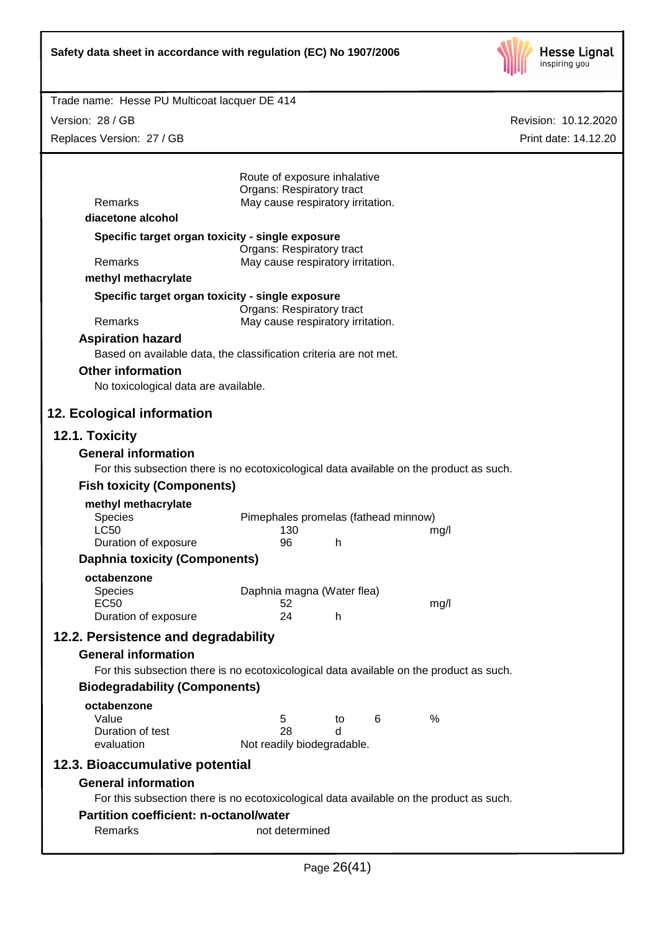

Version: 28 / GB Replaces Version: 27 / GB

| Remarks                                                                                                               | Route of exposure inhalative<br>Organs: Respiratory tract<br>May cause respiratory irritation. |    |   |      |  |
|-----------------------------------------------------------------------------------------------------------------------|------------------------------------------------------------------------------------------------|----|---|------|--|
| diacetone alcohol                                                                                                     |                                                                                                |    |   |      |  |
| Specific target organ toxicity - single exposure                                                                      |                                                                                                |    |   |      |  |
| Remarks                                                                                                               | Organs: Respiratory tract<br>May cause respiratory irritation.                                 |    |   |      |  |
| methyl methacrylate                                                                                                   |                                                                                                |    |   |      |  |
| Specific target organ toxicity - single exposure                                                                      |                                                                                                |    |   |      |  |
|                                                                                                                       | Organs: Respiratory tract                                                                      |    |   |      |  |
| Remarks                                                                                                               | May cause respiratory irritation.                                                              |    |   |      |  |
| <b>Aspiration hazard</b>                                                                                              |                                                                                                |    |   |      |  |
| Based on available data, the classification criteria are not met.                                                     |                                                                                                |    |   |      |  |
| <b>Other information</b>                                                                                              |                                                                                                |    |   |      |  |
| No toxicological data are available.                                                                                  |                                                                                                |    |   |      |  |
| 12. Ecological information                                                                                            |                                                                                                |    |   |      |  |
| 12.1. Toxicity                                                                                                        |                                                                                                |    |   |      |  |
| <b>General information</b>                                                                                            |                                                                                                |    |   |      |  |
| For this subsection there is no ecotoxicological data available on the product as such.                               |                                                                                                |    |   |      |  |
| <b>Fish toxicity (Components)</b>                                                                                     |                                                                                                |    |   |      |  |
| methyl methacrylate                                                                                                   |                                                                                                |    |   |      |  |
| <b>Species</b>                                                                                                        | Pimephales promelas (fathead minnow)                                                           |    |   |      |  |
| <b>LC50</b><br>Duration of exposure                                                                                   | 130<br>96                                                                                      | h  |   | mg/l |  |
| <b>Daphnia toxicity (Components)</b>                                                                                  |                                                                                                |    |   |      |  |
|                                                                                                                       |                                                                                                |    |   |      |  |
| octabenzone<br>Species                                                                                                | Daphnia magna (Water flea)                                                                     |    |   |      |  |
| <b>EC50</b>                                                                                                           | 52                                                                                             |    |   | mg/l |  |
| Duration of exposure                                                                                                  | 24                                                                                             | h  |   |      |  |
| 12.2. Persistence and degradability                                                                                   |                                                                                                |    |   |      |  |
| <b>General information</b>                                                                                            |                                                                                                |    |   |      |  |
| For this subsection there is no ecotoxicological data available on the product as such.                               |                                                                                                |    |   |      |  |
| <b>Biodegradability (Components)</b>                                                                                  |                                                                                                |    |   |      |  |
| octabenzone                                                                                                           |                                                                                                |    |   |      |  |
| Value                                                                                                                 | 5                                                                                              | to | 6 | $\%$ |  |
| Duration of test<br>evaluation                                                                                        | 28                                                                                             | d  |   |      |  |
|                                                                                                                       | Not readily biodegradable.                                                                     |    |   |      |  |
| 12.3. Bioaccumulative potential                                                                                       |                                                                                                |    |   |      |  |
| <b>General information</b><br>For this subsection there is no ecotoxicological data available on the product as such. |                                                                                                |    |   |      |  |
| <b>Partition coefficient: n-octanol/water</b>                                                                         |                                                                                                |    |   |      |  |
| Remarks                                                                                                               | not determined                                                                                 |    |   |      |  |
|                                                                                                                       |                                                                                                |    |   |      |  |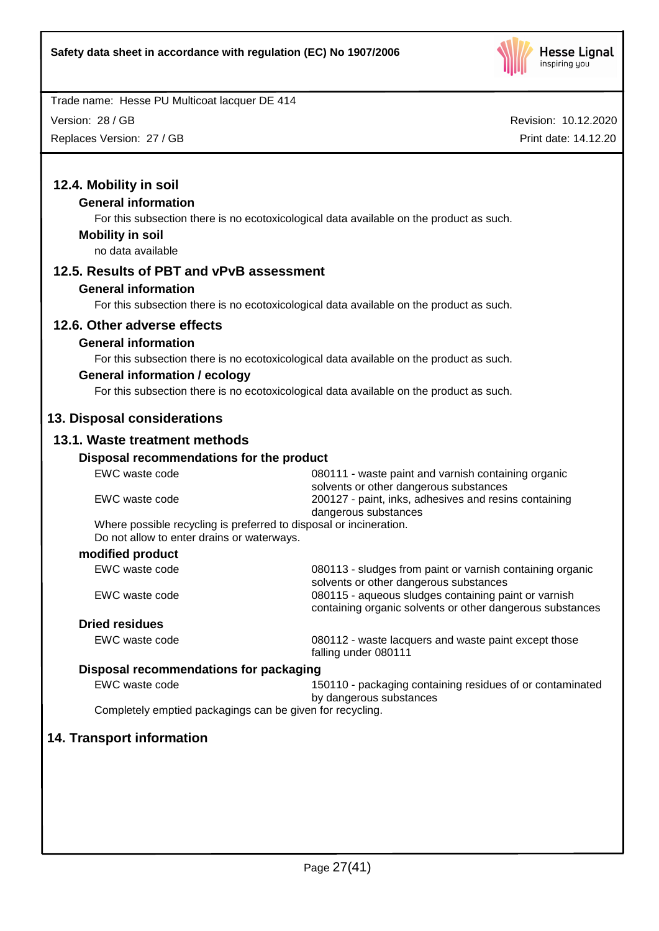

Version: 28 / GB

Replaces Version: 27 / GB

| 12.4. Mobility in soil                                                                                           |                                                                                                                   |
|------------------------------------------------------------------------------------------------------------------|-------------------------------------------------------------------------------------------------------------------|
| <b>General information</b>                                                                                       |                                                                                                                   |
|                                                                                                                  | For this subsection there is no ecotoxicological data available on the product as such.                           |
| <b>Mobility in soil</b>                                                                                          |                                                                                                                   |
| no data available                                                                                                |                                                                                                                   |
| 12.5. Results of PBT and vPvB assessment                                                                         |                                                                                                                   |
| <b>General information</b>                                                                                       |                                                                                                                   |
|                                                                                                                  | For this subsection there is no ecotoxicological data available on the product as such.                           |
| 12.6. Other adverse effects                                                                                      |                                                                                                                   |
| <b>General information</b>                                                                                       |                                                                                                                   |
|                                                                                                                  | For this subsection there is no ecotoxicological data available on the product as such.                           |
| <b>General information / ecology</b>                                                                             |                                                                                                                   |
|                                                                                                                  | For this subsection there is no ecotoxicological data available on the product as such.                           |
| 13. Disposal considerations                                                                                      |                                                                                                                   |
| 13.1. Waste treatment methods                                                                                    |                                                                                                                   |
| Disposal recommendations for the product                                                                         |                                                                                                                   |
| EWC waste code                                                                                                   | 080111 - waste paint and varnish containing organic<br>solvents or other dangerous substances                     |
| EWC waste code                                                                                                   | 200127 - paint, inks, adhesives and resins containing<br>dangerous substances                                     |
| Where possible recycling is preferred to disposal or incineration.<br>Do not allow to enter drains or waterways. |                                                                                                                   |
| modified product                                                                                                 |                                                                                                                   |
| EWC waste code                                                                                                   | 080113 - sludges from paint or varnish containing organic<br>solvents or other dangerous substances               |
| EWC waste code                                                                                                   | 080115 - aqueous sludges containing paint or varnish<br>containing organic solvents or other dangerous substances |
| <b>Dried residues</b>                                                                                            |                                                                                                                   |
| EWC waste code                                                                                                   | 080112 - waste lacquers and waste paint except those<br>falling under 080111                                      |
| Disposal recommendations for packaging                                                                           |                                                                                                                   |
| EWC waste code                                                                                                   | 150110 - packaging containing residues of or contaminated<br>by dangerous substances                              |
| Completely emptied packagings can be given for recycling.                                                        |                                                                                                                   |
| <b>14. Transport information</b>                                                                                 |                                                                                                                   |
|                                                                                                                  |                                                                                                                   |
|                                                                                                                  |                                                                                                                   |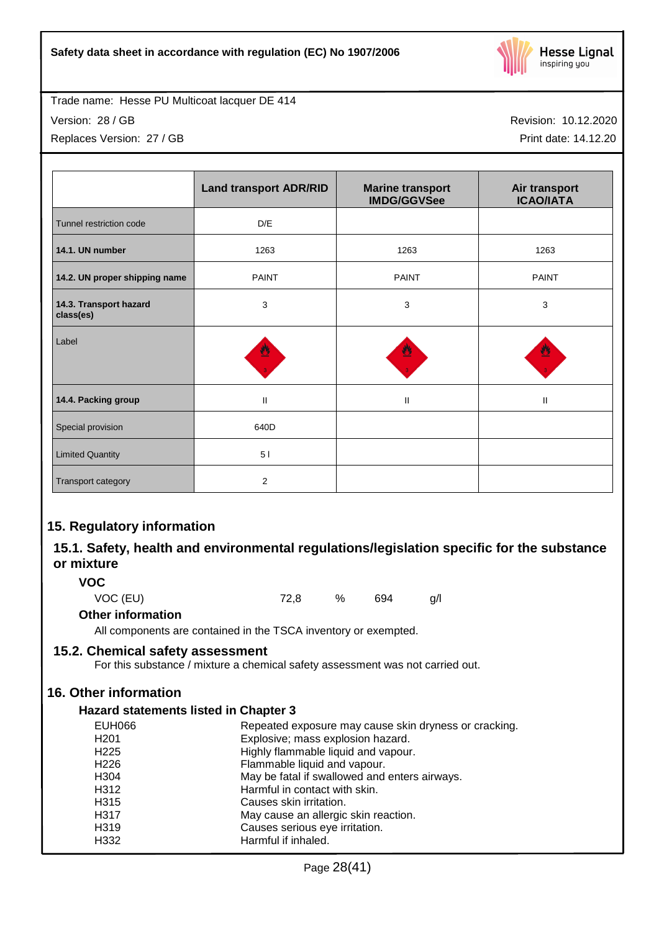

Version: 28 / GB

Replaces Version: 27 / GB

Revision: 10.12.2020

Print date: 14.12.20

|                                     | <b>Land transport ADR/RID</b> | <b>Marine transport</b><br><b>IMDG/GGVSee</b> | Air transport<br><b>ICAO/IATA</b> |
|-------------------------------------|-------------------------------|-----------------------------------------------|-----------------------------------|
| Tunnel restriction code             | D/E                           |                                               |                                   |
| 14.1. UN number                     | 1263                          | 1263                                          | 1263                              |
| 14.2. UN proper shipping name       | <b>PAINT</b>                  | <b>PAINT</b>                                  | <b>PAINT</b>                      |
| 14.3. Transport hazard<br>class(es) | 3                             | 3                                             | 3                                 |
| Label                               | ₩                             |                                               |                                   |
| 14.4. Packing group                 | $\mathbf{II}$                 | $\mathbf{II}$                                 | $\mathbf{H}$                      |
| Special provision                   | 640D                          |                                               |                                   |
| <b>Limited Quantity</b>             | 51                            |                                               |                                   |
| Transport category                  | 2                             |                                               |                                   |

# **15. Regulatory information**

# **15.1. Safety, health and environmental regulations/legislation specific for the substance or mixture**

**VOC**

VOC (EU) 72,8 % 694 g/l

# **Other information**

All components are contained in the TSCA inventory or exempted.

# **15.2. Chemical safety assessment**

For this substance / mixture a chemical safety assessment was not carried out.

# **16. Other information**

# **Hazard statements listed in Chapter 3**

| <b>EUH066</b>    | Repeated exposure may cause skin dryness or cracking. |
|------------------|-------------------------------------------------------|
| H <sub>201</sub> | Explosive; mass explosion hazard.                     |
| H <sub>225</sub> | Highly flammable liquid and vapour.                   |
| H <sub>226</sub> | Flammable liquid and vapour.                          |
| H <sub>304</sub> | May be fatal if swallowed and enters airways.         |
| H312             | Harmful in contact with skin.                         |
| H <sub>315</sub> | Causes skin irritation.                               |
| H317             | May cause an allergic skin reaction.                  |
| H319             | Causes serious eye irritation.                        |
| H332             | Harmful if inhaled.                                   |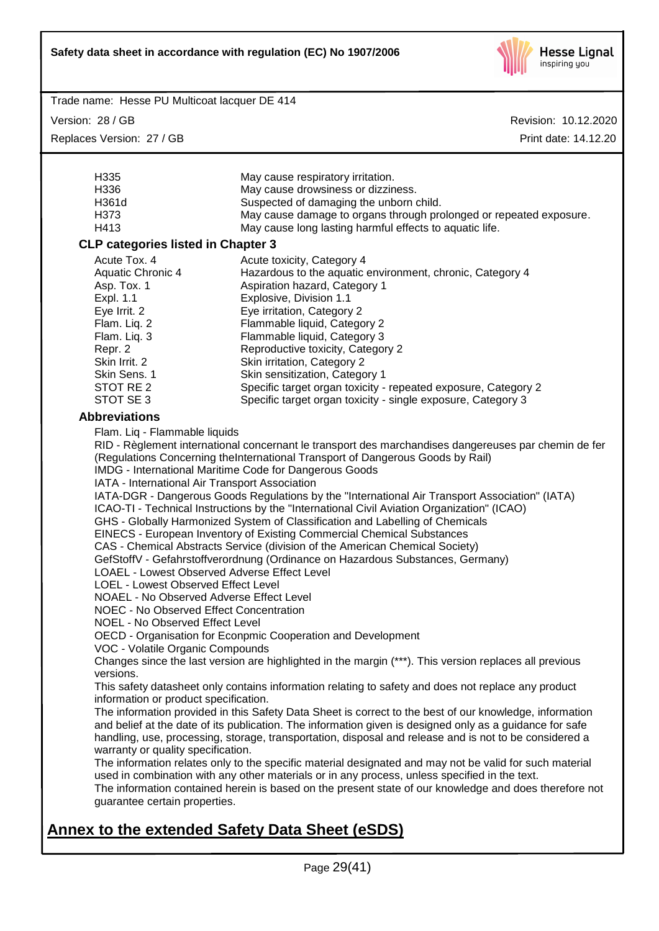

Version: 28 / GB

Replaces Version: 27 / GB

Revision: 10.12.2020 Print date: 14.12.20

| H335                                                                                                     | May cause respiratory irritation.                                                                       |  |  |  |  |
|----------------------------------------------------------------------------------------------------------|---------------------------------------------------------------------------------------------------------|--|--|--|--|
| H336                                                                                                     | May cause drowsiness or dizziness.                                                                      |  |  |  |  |
| H361d                                                                                                    | Suspected of damaging the unborn child.                                                                 |  |  |  |  |
| H373                                                                                                     | May cause damage to organs through prolonged or repeated exposure.                                      |  |  |  |  |
| H413                                                                                                     | May cause long lasting harmful effects to aquatic life.                                                 |  |  |  |  |
| <b>CLP categories listed in Chapter 3</b>                                                                |                                                                                                         |  |  |  |  |
| Acute Tox. 4                                                                                             | Acute toxicity, Category 4                                                                              |  |  |  |  |
| Aquatic Chronic 4                                                                                        | Hazardous to the aquatic environment, chronic, Category 4                                               |  |  |  |  |
| Asp. Tox. 1                                                                                              | Aspiration hazard, Category 1                                                                           |  |  |  |  |
| Expl. 1.1                                                                                                | Explosive, Division 1.1                                                                                 |  |  |  |  |
| Eye Irrit. 2                                                                                             | Eye irritation, Category 2                                                                              |  |  |  |  |
| Flam. Liq. 2                                                                                             | Flammable liquid, Category 2                                                                            |  |  |  |  |
| Flam. Liq. 3                                                                                             | Flammable liquid, Category 3                                                                            |  |  |  |  |
| Repr. 2                                                                                                  | Reproductive toxicity, Category 2                                                                       |  |  |  |  |
| Skin Irrit. 2                                                                                            | Skin irritation, Category 2                                                                             |  |  |  |  |
| Skin Sens. 1                                                                                             | Skin sensitization, Category 1                                                                          |  |  |  |  |
| STOT RE 2                                                                                                | Specific target organ toxicity - repeated exposure, Category 2                                          |  |  |  |  |
| STOT SE 3                                                                                                | Specific target organ toxicity - single exposure, Category 3                                            |  |  |  |  |
| <b>Abbreviations</b>                                                                                     |                                                                                                         |  |  |  |  |
| Flam. Liq - Flammable liquids                                                                            |                                                                                                         |  |  |  |  |
|                                                                                                          | RID - Règlement international concernant le transport des marchandises dangereuses par chemin de fer    |  |  |  |  |
|                                                                                                          | (Regulations Concerning theInternational Transport of Dangerous Goods by Rail)                          |  |  |  |  |
|                                                                                                          | IMDG - International Maritime Code for Dangerous Goods                                                  |  |  |  |  |
| IATA - International Air Transport Association                                                           |                                                                                                         |  |  |  |  |
|                                                                                                          | IATA-DGR - Dangerous Goods Regulations by the "International Air Transport Association" (IATA)          |  |  |  |  |
| ICAO-TI - Technical Instructions by the "International Civil Aviation Organization" (ICAO)               |                                                                                                         |  |  |  |  |
| GHS - Globally Harmonized System of Classification and Labelling of Chemicals                            |                                                                                                         |  |  |  |  |
| EINECS - European Inventory of Existing Commercial Chemical Substances                                   |                                                                                                         |  |  |  |  |
|                                                                                                          | CAS - Chemical Abstracts Service (division of the American Chemical Society)                            |  |  |  |  |
|                                                                                                          | GefStoffV - Gefahrstoffverordnung (Ordinance on Hazardous Substances, Germany)                          |  |  |  |  |
| <b>LOAEL - Lowest Observed Adverse Effect Level</b>                                                      |                                                                                                         |  |  |  |  |
| <b>LOEL - Lowest Observed Effect Level</b>                                                               |                                                                                                         |  |  |  |  |
| NOAEL - No Observed Adverse Effect Level                                                                 |                                                                                                         |  |  |  |  |
| <b>NOEC - No Observed Effect Concentration</b>                                                           |                                                                                                         |  |  |  |  |
| <b>NOEL - No Observed Effect Level</b>                                                                   |                                                                                                         |  |  |  |  |
| OECD - Organisation for Econpmic Cooperation and Development                                             |                                                                                                         |  |  |  |  |
| VOC - Volatile Organic Compounds                                                                         |                                                                                                         |  |  |  |  |
| Changes since the last version are highlighted in the margin (***). This version replaces all previous   |                                                                                                         |  |  |  |  |
| versions.                                                                                                |                                                                                                         |  |  |  |  |
| This safety datasheet only contains information relating to safety and does not replace any product      |                                                                                                         |  |  |  |  |
| information or product specification.                                                                    |                                                                                                         |  |  |  |  |
| The information provided in this Safety Data Sheet is correct to the best of our knowledge, information  |                                                                                                         |  |  |  |  |
| and belief at the date of its publication. The information given is designed only as a guidance for safe |                                                                                                         |  |  |  |  |
|                                                                                                          | handling, use, processing, storage, transportation, disposal and release and is not to be considered a  |  |  |  |  |
|                                                                                                          | warranty or quality specification.                                                                      |  |  |  |  |
|                                                                                                          | The information relates only to the specific material designated and may not be valid for such material |  |  |  |  |
|                                                                                                          | used in combination with any other materials or in any process, unless specified in the text.           |  |  |  |  |
| The information contained herein is based on the present state of our knowledge and does therefore not   |                                                                                                         |  |  |  |  |
| guarantee certain properties.                                                                            |                                                                                                         |  |  |  |  |
|                                                                                                          |                                                                                                         |  |  |  |  |

# **Annex to the extended Safety Data Sheet (eSDS)**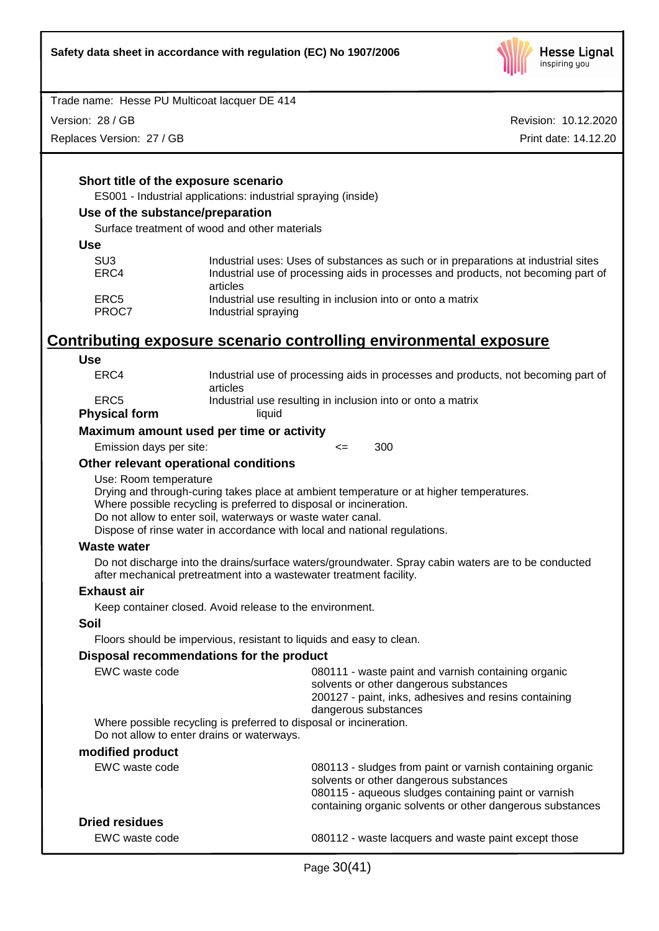

Version: 28 / GB

Replaces Version: 27 / GB

Revision: 10.12.2020 Print date: 14.12.20

### **Short title of the exposure scenario**

ES001 - Industrial applications: industrial spraying (inside)

### **Use of the substance/preparation**

Surface treatment of wood and other materials

#### **Use**

| SU3<br>ERC4 | Industrial uses: Uses of substances as such or in preparations at industrial sites<br>Industrial use of processing aids in processes and products, not becoming part of |
|-------------|-------------------------------------------------------------------------------------------------------------------------------------------------------------------------|
|             | articles                                                                                                                                                                |
| ERC5        | Industrial use resulting in inclusion into or onto a matrix                                                                                                             |
| PROC7       | Industrial spraying                                                                                                                                                     |

# **Contributing exposure scenario controlling environmental exposure**

#### **Use**

| ERC4                 | Industrial use of processing aids in processes and products, not becoming part of |
|----------------------|-----------------------------------------------------------------------------------|
|                      | articles                                                                          |
| ERC5                 | Industrial use resulting in inclusion into or onto a matrix                       |
| <b>Physical form</b> | liauid                                                                            |
|                      |                                                                                   |

### **Maximum amount used per time or activity**

Emission days per site: <= 300

### **Other relevant operational conditions**

Use: Room temperature

Drying and through-curing takes place at ambient temperature or at higher temperatures.

Where possible recycling is preferred to disposal or incineration.

Do not allow to enter soil, waterways or waste water canal.

Dispose of rinse water in accordance with local and national regulations.

### **Waste water**

Do not discharge into the drains/surface waters/groundwater. Spray cabin waters are to be conducted after mechanical pretreatment into a wastewater treatment facility.

### **Exhaust air**

Keep container closed. Avoid release to the environment.

### **Soil**

Floors should be impervious, resistant to liquids and easy to clean.

### **Disposal recommendations for the product**

| EWC waste code                             | 080111 - waste paint and varnish containing organic<br>solvents or other dangerous substances<br>200127 - paint, inks, adhesives and resins containing<br>dangerous substances |
|--------------------------------------------|--------------------------------------------------------------------------------------------------------------------------------------------------------------------------------|
| Do not allow to enter drains or waterways. | Where possible recycling is preferred to disposal or incineration.                                                                                                             |
| modified product                           |                                                                                                                                                                                |
| EWC waste code                             | 080113 - sludges from paint or varnish containing organic<br>solvents or other dangerous substances<br>080115 - aqueous sludges containing paint or varnish                    |

# **Dried residues**

EWC waste code 080112 - waste lacquers and waste paint except those

containing organic solvents or other dangerous substances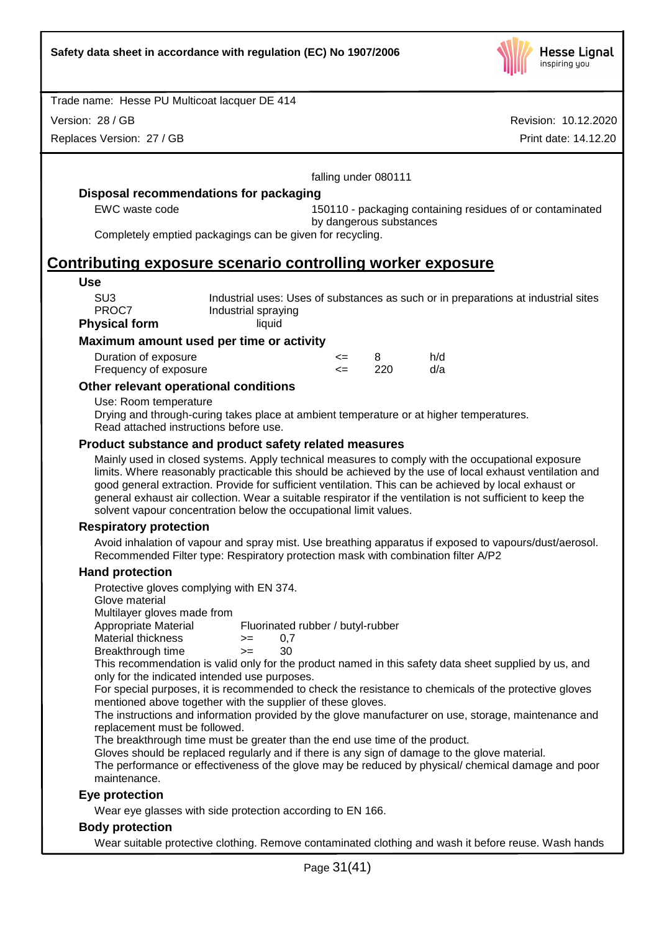

Version: 28 / GB

Replaces Version: 27 / GB

|                                                                                                                                                                                                                                                                                                                                                                                                                                                                                                           |                                                                                                                                                                                                                                                                                    |              | falling under 080111    |                                                                                    |  |
|-----------------------------------------------------------------------------------------------------------------------------------------------------------------------------------------------------------------------------------------------------------------------------------------------------------------------------------------------------------------------------------------------------------------------------------------------------------------------------------------------------------|------------------------------------------------------------------------------------------------------------------------------------------------------------------------------------------------------------------------------------------------------------------------------------|--------------|-------------------------|------------------------------------------------------------------------------------|--|
| Disposal recommendations for packaging                                                                                                                                                                                                                                                                                                                                                                                                                                                                    |                                                                                                                                                                                                                                                                                    |              |                         |                                                                                    |  |
| EWC waste code                                                                                                                                                                                                                                                                                                                                                                                                                                                                                            |                                                                                                                                                                                                                                                                                    |              | by dangerous substances | 150110 - packaging containing residues of or contaminated                          |  |
| Completely emptied packagings can be given for recycling.                                                                                                                                                                                                                                                                                                                                                                                                                                                 |                                                                                                                                                                                                                                                                                    |              |                         |                                                                                    |  |
| <u>Contributing exposure scenario controlling worker exposure</u>                                                                                                                                                                                                                                                                                                                                                                                                                                         |                                                                                                                                                                                                                                                                                    |              |                         |                                                                                    |  |
| <b>Use</b>                                                                                                                                                                                                                                                                                                                                                                                                                                                                                                |                                                                                                                                                                                                                                                                                    |              |                         |                                                                                    |  |
| SU <sub>3</sub><br>PROC7                                                                                                                                                                                                                                                                                                                                                                                                                                                                                  | Industrial spraying                                                                                                                                                                                                                                                                |              |                         | Industrial uses: Uses of substances as such or in preparations at industrial sites |  |
| <b>Physical form</b>                                                                                                                                                                                                                                                                                                                                                                                                                                                                                      | liquid                                                                                                                                                                                                                                                                             |              |                         |                                                                                    |  |
| Maximum amount used per time or activity                                                                                                                                                                                                                                                                                                                                                                                                                                                                  |                                                                                                                                                                                                                                                                                    |              |                         |                                                                                    |  |
| Duration of exposure<br>Frequency of exposure                                                                                                                                                                                                                                                                                                                                                                                                                                                             |                                                                                                                                                                                                                                                                                    | <=<br>$\leq$ | 8<br>220                | h/d<br>d/a                                                                         |  |
| Other relevant operational conditions                                                                                                                                                                                                                                                                                                                                                                                                                                                                     |                                                                                                                                                                                                                                                                                    |              |                         |                                                                                    |  |
| Use: Room temperature<br>Drying and through-curing takes place at ambient temperature or at higher temperatures.<br>Read attached instructions before use.                                                                                                                                                                                                                                                                                                                                                |                                                                                                                                                                                                                                                                                    |              |                         |                                                                                    |  |
| Product substance and product safety related measures                                                                                                                                                                                                                                                                                                                                                                                                                                                     |                                                                                                                                                                                                                                                                                    |              |                         |                                                                                    |  |
| Mainly used in closed systems. Apply technical measures to comply with the occupational exposure<br>limits. Where reasonably practicable this should be achieved by the use of local exhaust ventilation and<br>good general extraction. Provide for sufficient ventilation. This can be achieved by local exhaust or<br>general exhaust air collection. Wear a suitable respirator if the ventilation is not sufficient to keep the<br>solvent vapour concentration below the occupational limit values. |                                                                                                                                                                                                                                                                                    |              |                         |                                                                                    |  |
| <b>Respiratory protection</b>                                                                                                                                                                                                                                                                                                                                                                                                                                                                             |                                                                                                                                                                                                                                                                                    |              |                         |                                                                                    |  |
| Avoid inhalation of vapour and spray mist. Use breathing apparatus if exposed to vapours/dust/aerosol.<br>Recommended Filter type: Respiratory protection mask with combination filter A/P2                                                                                                                                                                                                                                                                                                               |                                                                                                                                                                                                                                                                                    |              |                         |                                                                                    |  |
| <b>Hand protection</b>                                                                                                                                                                                                                                                                                                                                                                                                                                                                                    |                                                                                                                                                                                                                                                                                    |              |                         |                                                                                    |  |
| Protective gloves complying with EN 374.<br>Glove material<br>Multilayer gloves made from<br>Appropriate Material<br><b>Material thickness</b>                                                                                                                                                                                                                                                                                                                                                            | Fluorinated rubber / butyl-rubber<br>0,7<br>$>=$                                                                                                                                                                                                                                   |              |                         |                                                                                    |  |
| Breakthrough time<br>This recommendation is valid only for the product named in this safety data sheet supplied by us, and<br>only for the indicated intended use purposes.                                                                                                                                                                                                                                                                                                                               | 30.<br>$>=$ $-$                                                                                                                                                                                                                                                                    |              |                         |                                                                                    |  |
| replacement must be followed.                                                                                                                                                                                                                                                                                                                                                                                                                                                                             | For special purposes, it is recommended to check the resistance to chemicals of the protective gloves<br>mentioned above together with the supplier of these gloves.<br>The instructions and information provided by the glove manufacturer on use, storage, maintenance and       |              |                         |                                                                                    |  |
|                                                                                                                                                                                                                                                                                                                                                                                                                                                                                                           | The breakthrough time must be greater than the end use time of the product.<br>Gloves should be replaced regularly and if there is any sign of damage to the glove material.<br>The performance or effectiveness of the glove may be reduced by physical/ chemical damage and poor |              |                         |                                                                                    |  |
| maintenance.                                                                                                                                                                                                                                                                                                                                                                                                                                                                                              |                                                                                                                                                                                                                                                                                    |              |                         |                                                                                    |  |
| Eye protection                                                                                                                                                                                                                                                                                                                                                                                                                                                                                            |                                                                                                                                                                                                                                                                                    |              |                         |                                                                                    |  |
| Wear eye glasses with side protection according to EN 166.                                                                                                                                                                                                                                                                                                                                                                                                                                                |                                                                                                                                                                                                                                                                                    |              |                         |                                                                                    |  |
| <b>Body protection</b>                                                                                                                                                                                                                                                                                                                                                                                                                                                                                    |                                                                                                                                                                                                                                                                                    |              |                         |                                                                                    |  |
| Wear suitable protective clothing. Remove contaminated clothing and wash it before reuse. Wash hands                                                                                                                                                                                                                                                                                                                                                                                                      |                                                                                                                                                                                                                                                                                    |              |                         |                                                                                    |  |
|                                                                                                                                                                                                                                                                                                                                                                                                                                                                                                           | Page 31(41)                                                                                                                                                                                                                                                                        |              |                         |                                                                                    |  |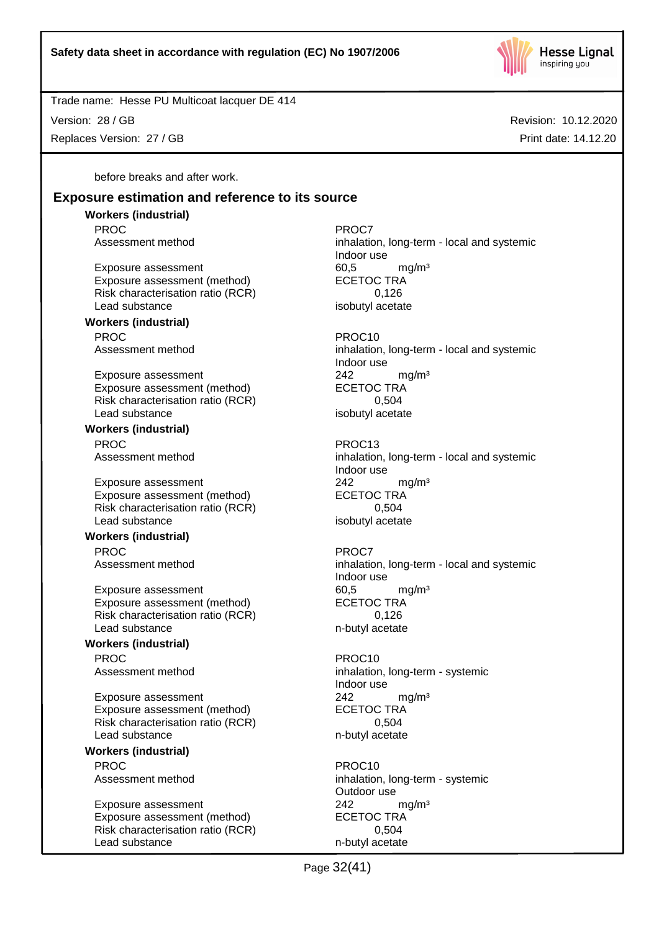

Revision: 10.12.2020

Print date: 14.12.20

Trade name: Hesse PU Multicoat lacquer DE 414

Version: 28 / GB

Replaces Version: 27 / GB

before breaks and after work.

# **Exposure estimation and reference to its source**

**Workers (industrial)** PROC<sup>P</sup> PROCT PROCT

Exposure assessment 60,5 mg/m<sup>3</sup> Exposure assessment (method) ECETOC TRA Risk characterisation ratio (RCR) 0,126 Lead substance isobutyl acetate

# **Workers (industrial)** PROC PROCTES PROCTES

Exposure assessment 242 mg/m<sup>3</sup> Exposure assessment (method) ECETOC TRA Risk characterisation ratio (RCR) 0,504 Lead substance isobutyl acetate

**Workers (industrial)** PROC PROC13

Exposure assessment end and the manuform of the proportion of the exposure assessment (method) and the ECETOC TRA Exposure assessment (method) Risk characterisation ratio (RCR) 0,504 Lead substance isobutyl acetate

# **Workers (industrial)**

PROC<sup>PROC</sup> PROCT

Exposure assessment 60,5 mg/m<sup>3</sup> Exposure assessment (method) ECETOC TRA Risk characterisation ratio (RCR) 0,126 Lead substance n-butyl acetate

# **Workers (industrial)**

PROC PROC10<br>Assessment method example and the process inhalation

Exposure assessment <br>
Exposure assessment (method) 
<br>
ECETOC TRA Exposure assessment (method) Risk characterisation ratio (RCR) 0,504 Lead substance n-butyl acetate

# **Workers (industrial)**

PROC PROCTES AND PROCTES PROCTES AND PROCTES PROCTES AND PROCTES AND PROCTES AND PROCTES AND PROCTES AND ALL AND PROCTES AND ALL AND ANNUAL AND ALL AND ANNUAL AND ANNUAL AND ALL AND ANNUAL AND ALL AND ANNUAL AND ANNUAL AND

Exposure assessment <br>
Exposure assessment (method) 
<br>
ECETOC TRA Exposure assessment (method) Risk characterisation ratio (RCR) 0,504 Lead substance n-butyl acetate

Assessment method inhalation, long-term - local and systemic Indoor use

Assessment method inhalation, long-term - local and systemic Indoor use

Assessment method inhalation, long-term - local and systemic Indoor use

# Assessment method inhalation, long-term - local and systemic Indoor use

inhalation, long-term - systemic Indoor use

Assessment method inhalation, long-term - systemic Outdoor use

Page 32(41)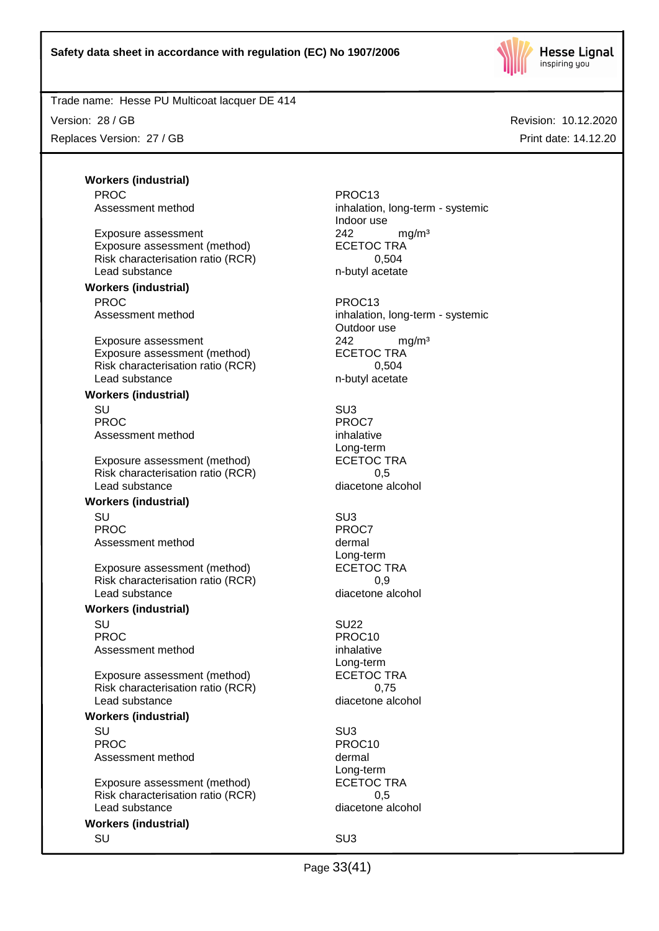

Version: 28 / GB

Replaces Version: 27 / GB

Revision: 10.12.2020 Print date: 14.12.20

**Workers (industrial)** PROC PROC13 Assessment method inhalation, long-term - systemic Exposure assessment <br>
Exposure assessment (method) 
<br>
ECETOC TRA Exposure assessment (method) Risk characterisation ratio (RCR) 0,504 Lead substance n-butyl acetate **Workers (industrial)** PROC PROC13 Assessment method inhalation, long-term - systemic Exposure assessment <br>
Exposure assessment (method) 
<br>
ECETOC TRA Exposure assessment (method) Risk characterisation ratio (RCR) 0,504 Lead substance n-butyl acetate **Workers (industrial)** SU SU3 PROC PROCT PROCT PROCT Assessment method inhalative Exposure assessment (method) ECETOC TRA Risk characterisation ratio (RCR) 0,5 Lead substance diacetone alcohol **Workers (industrial)** SU SU3 PROC<sup>PROC</sup> PROCT Assessment method dermal Exposure assessment (method) ECETOC TRA Risk characterisation ratio (RCR) 0,9 Lead substance diacetone alcohol **Workers (industrial)** SU SU22 PROC PROCHES PROC10

Assessment method inhalative

Exposure assessment (method) Risk characterisation ratio (RCR) 0,75 Lead substance diacetone alcohol

### **Workers (industrial)**

SU SU3 PROC PROCTER PROCTER PROCTER PROCTER PROCTER PROCTER PROCTER PROCTER PROCTER PROCTER PROCTER PROCTER PROCTER PROCTER PROCTER PROCTER PROCTER PROCTER PROCTER PROCTER PROCTER PROCTER PROCTER PROCTER PROCTER PROCTER PROCTER P Assessment method dermal

Exposure assessment (method) ECETOC TRA Risk characterisation ratio (RCR) 0,5 Lead substance diacetone alcohol

# **Workers (industrial)**

Indoor use

Outdoor use

Long-term

Long-term

Long-term<br>ECETOC TRA

Long-term

SU SU3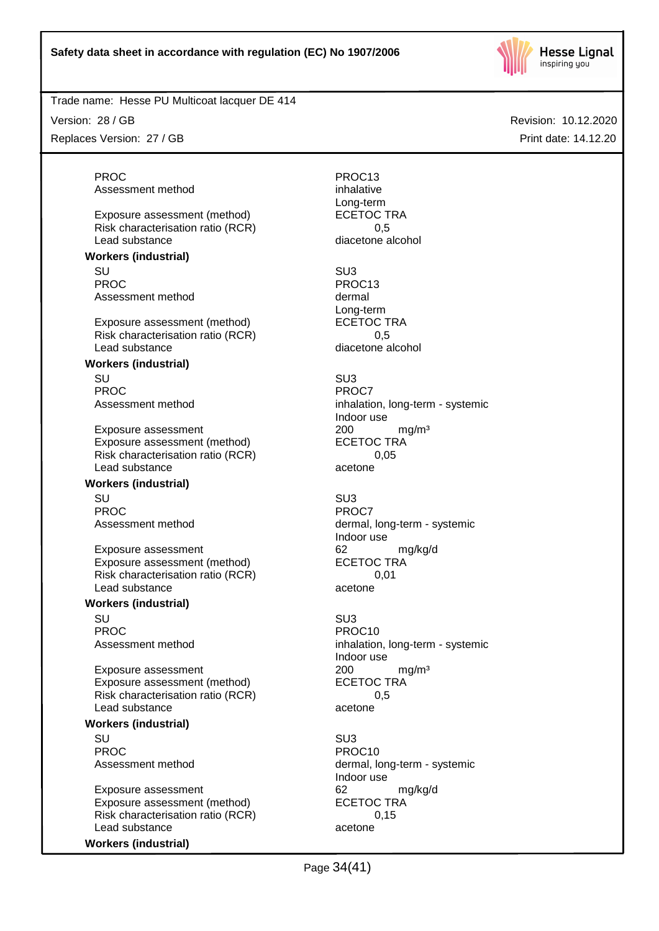

Version: 28 / GB

Replaces Version: 27 / GB

PROC PROC13 Assessment method inhalative

Exposure assessment (method) ECETOC TRA Risk characterisation ratio (RCR) 6.5 Lead substance diacetone alcohol

### **Workers (industrial)**

SU SU3 PROC PROC13 Assessment method dermal

Exposure assessment (method) Risk characterisation ratio (RCR) 0,5 Lead substance diacetone alcohol

### **Workers (industrial)**

SU SU3 PROC<sup>P</sup> PROCT PROCT

Exposure assessment <br>
Exposure assessment (method) 
<br>
ECETOC TRA Exposure assessment (method) Risk characterisation ratio (RCR) 0,05 Lead substance acetone

### **Workers (industrial)**

SU SU3 PROC<sup>PROC</sup> PROCT

Exposure assessment and the control of the control of the control of the control of the control of the control o<br>
ECETOC TRA Exposure assessment (method) Risk characterisation ratio (RCR) 0,01 Lead substance acetone

### **Workers (industrial)**

SU SU3 PROC PROCTER PROCTER PROCTER PROCTER PROCTER PROCTER PROCTER PROCTER PROCTER PROCTER PROCTER PROCTER PROCTER PROCTER PROCTER PROCTER PROCTER PROCTER PROCTER PROCTER PROCTER PROCTER PROCTER PROCTER PROCTER PROCTER PROCTER P

Exposure assessment <br>
Exposure assessment (method) 
<br>
ECETOC TRA Exposure assessment (method) Risk characterisation ratio (RCR) 0,5 Lead substance acetone

### **Workers (industrial)**

SU SU3 PROC PROC10

Exposure assessment 62 mg/kg/d Exposure assessment (method) ECETOC TRA Risk characterisation ratio (RCR) 0,15 Lead substance acetone

# **Workers (industrial)**

Long-term Long-term<br>ECETOC TRA Assessment method inhalation, long-term - systemic Indoor use<br>200 Assessment method dermal, long-term - systemic Indoor use Assessment method inhalation, long-term - systemic Indoor use

Assessment method dermal, long-term - systemic Indoor use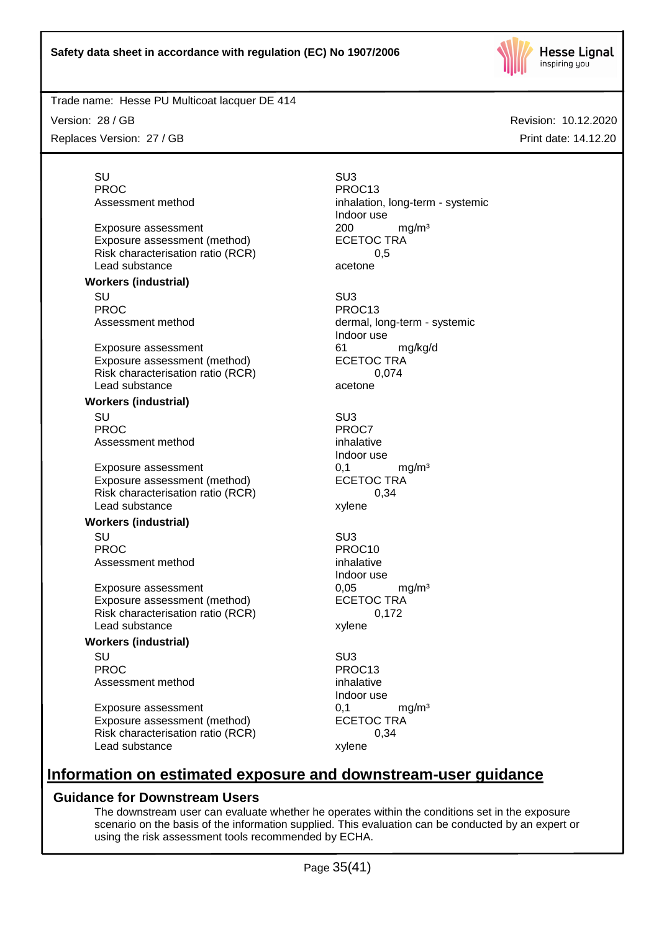

Revision: 10.12.2020

Print date: 14.12.20

Trade name: Hesse PU Multicoat lacquer DE 414

Version: 28 / GB

Replaces Version: 27 / GB

SU SU3 PROC PROC13 Assessment method inhalation, long-term - systemic Indoor use Exposure assessment <br>
Exposure assessment (method) 
<br>
ECETOC TRA

> dermal, long-term - systemic Indoor use

Indoor use

Indoor use

Indoor use

# **Information on estimated exposure and downstream-user guidance**

# **Guidance for Downstream Users**

The downstream user can evaluate whether he operates within the conditions set in the exposure scenario on the basis of the information supplied. This evaluation can be conducted by an expert or using the risk assessment tools recommended by ECHA.

Page 35(41)

Risk characterisation ratio (RCR) 6.5 Lead substance acetone

**Workers (industrial)** SU SU3 PROC PROC13<br>Assessment method by the process of the process of the process of the process of the process of the process of the process of the process of the process of the process of the process of the process of the proce

Exposure assessment 61 mg/kg/d Exposure assessment (method) ECETOC TRA Risk characterisation ratio (RCR) 0,074<br>Lead substance description of the detection of the detection of the detection of the detection of the detectio Lead substance

Exposure assessment (method)

### **Workers (industrial)**

SU SU3 PROC<sup>PROC</sup> PROCT Assessment method inhalative

Exposure assessment  $0,1$  mg/m<sup>3</sup><br>Exposure assessment (method) ECETOC TRA Exposure assessment (method) Risk characterisation ratio (RCR) 0,34 Lead substance xylene

### **Workers (industrial)**

SU SU3 PROC PROC10<br>Assessment method example and proportional proportional proportional proportional proportional proportional pr<br>Assessment method Assessment method

Exposure assessment 
and the exposure assessment (method) 
and the exposure assessment (method) 
ECETOC TRA Exposure assessment (method) Risk characterisation ratio (RCR) 0,172 Lead substance xylene

# **Workers (industrial)**

SU SU3 PROC PROC13 Assessment method inhalative

Exposure assessment <br>
Exposure assessment (method) 
ECETOC TRA Exposure assessment (method) Risk characterisation ratio (RCR) 0,34 Lead substance xylene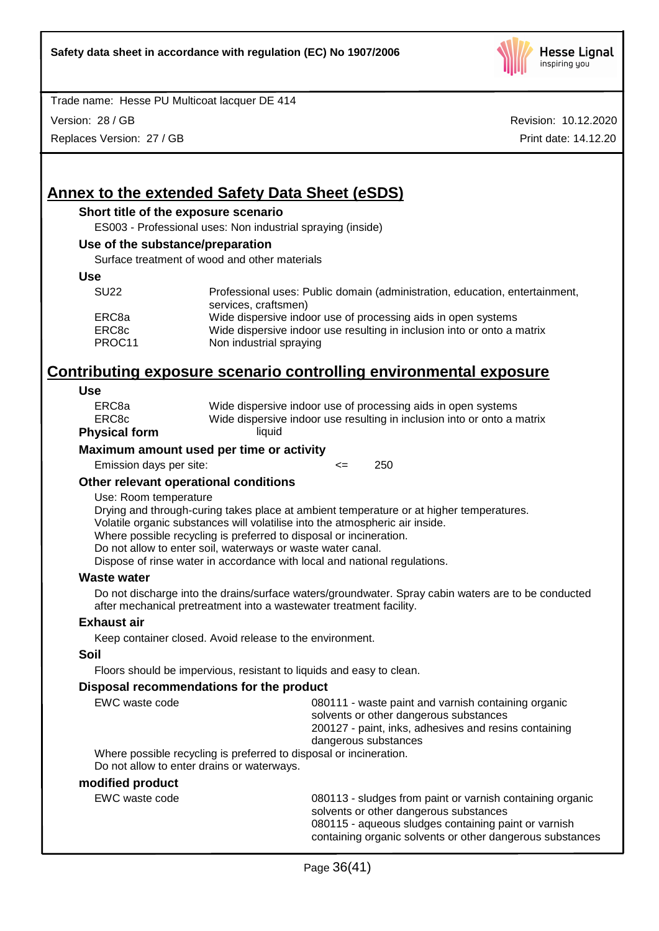

Version: 28 / GB

Replaces Version: 27 / GB

Revision: 10.12.2020 Print date: 14.12.20

# **Annex to the extended Safety Data Sheet (eSDS)**

### **Short title of the exposure scenario**

ES003 - Professional uses: Non industrial spraying (inside)

#### **Use of the substance/preparation**

Surface treatment of wood and other materials

#### **Use**

| <b>SU22</b> | Professional uses: Public domain (administration, education, entertainment,<br>services, craftsmen) |
|-------------|-----------------------------------------------------------------------------------------------------|
| ERC8a       | Wide dispersive indoor use of processing aids in open systems                                       |
| ERC8c       | Wide dispersive indoor use resulting in inclusion into or onto a matrix                             |
| PROC11      | Non industrial spraying                                                                             |

# **Contributing exposure scenario controlling environmental exposure**

#### **Use**

| ERC8a       | Wide dispersive indoor use of processing aids in open systems           |
|-------------|-------------------------------------------------------------------------|
| ERC8c       | Wide dispersive indoor use resulting in inclusion into or onto a matrix |
| vsical form | liquid                                                                  |

# **Phy**

### **Maximum amount used per time or activity**

Emission days per site:  $\leq$  250

### **Other relevant operational conditions**

### Use: Room temperature

Drying and through-curing takes place at ambient temperature or at higher temperatures. Volatile organic substances will volatilise into the atmospheric air inside.

Where possible recycling is preferred to disposal or incineration.

Do not allow to enter soil, waterways or waste water canal.

Dispose of rinse water in accordance with local and national regulations.

### **Waste water**

Do not discharge into the drains/surface waters/groundwater. Spray cabin waters are to be conducted after mechanical pretreatment into a wastewater treatment facility.

### **Exhaust air**

Keep container closed. Avoid release to the environment.

### **Soil**

Floors should be impervious, resistant to liquids and easy to clean.

### **Disposal recommendations for the product**

| EWC waste code                                                     | 080111 - waste paint and varnish containing organic<br>solvents or other dangerous substances |  |
|--------------------------------------------------------------------|-----------------------------------------------------------------------------------------------|--|
|                                                                    | 200127 - paint, inks, adhesives and resins containing                                         |  |
|                                                                    | dangerous substances                                                                          |  |
| Where possible recycling is preferred to disposal or incineration. |                                                                                               |  |

Do not allow to enter drains or waterways.

### **modified product**

EWC waste code **1801-13 - Sludges from paint or varnish containing organic** solvents or other dangerous substances 080115 - aqueous sludges containing paint or varnish containing organic solvents or other dangerous substances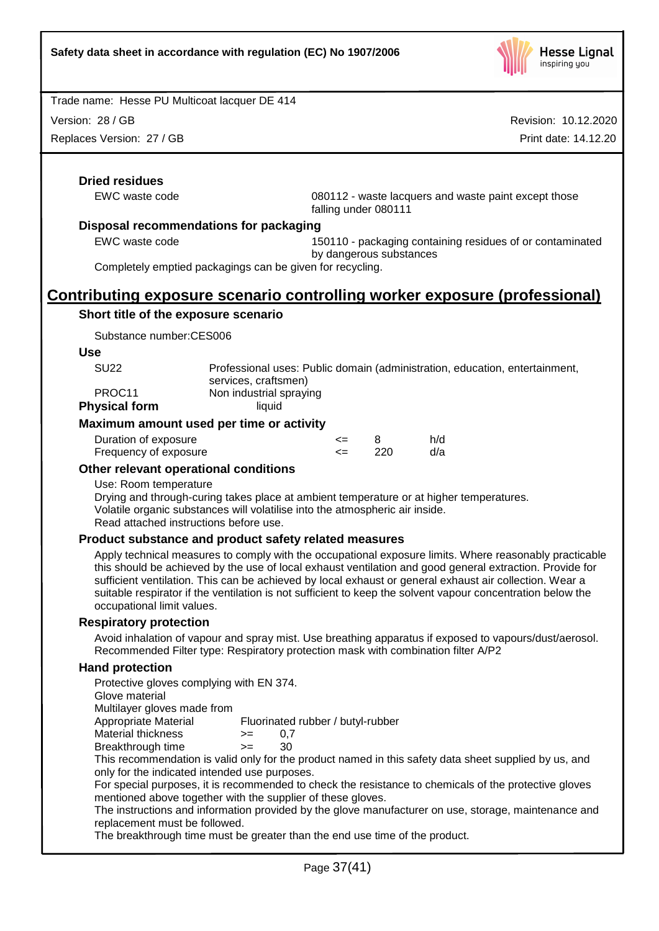

Version: 28 / GB

Replaces Version: 27 / GB

Revision: 10.12.2020 Print date: 14.12.20

# **Dried residues**

EWC waste code 080112 - waste lacquers and waste paint except those falling under 080111

### **Disposal recommendations for packaging**

EWC waste code 150110 - packaging containing residues of or contaminated by dangerous substances

Completely emptied packagings can be given for recycling.

# **Contributing exposure scenario controlling worker exposure (professional)**

### **Short title of the exposure scenario**

Substance number:CES006

#### **Use**

| <b>SU22</b> | Professional uses: Public domain (administration, education, entertainment, |
|-------------|-----------------------------------------------------------------------------|
|             | services, craftsmen)                                                        |
| PROC11      | Non industrial spraying                                                     |
|             |                                                                             |

**Physical form** liquid

### **Maximum amount used per time or activity**

| Duration of exposure  | <= |     | h/d |
|-----------------------|----|-----|-----|
| Frequency of exposure |    | 220 | d/a |

### **Other relevant operational conditions**

### Use: Room temperature

Drying and through-curing takes place at ambient temperature or at higher temperatures. Volatile organic substances will volatilise into the atmospheric air inside. Read attached instructions before use.

### **Product substance and product safety related measures**

Apply technical measures to comply with the occupational exposure limits. Where reasonably practicable this should be achieved by the use of local exhaust ventilation and good general extraction. Provide for sufficient ventilation. This can be achieved by local exhaust or general exhaust air collection. Wear a suitable respirator if the ventilation is not sufficient to keep the solvent vapour concentration below the occupational limit values.

### **Respiratory protection**

Avoid inhalation of vapour and spray mist. Use breathing apparatus if exposed to vapours/dust/aerosol. Recommended Filter type: Respiratory protection mask with combination filter A/P2

### **Hand protection**

Protective gloves complying with EN 374. Glove material Multilayer gloves made from

Appropriate Material Fluorinated rubber / butyl-rubber

Material thickness  $\ge$  = 0,7

Breakthrough time >= 30

This recommendation is valid only for the product named in this safety data sheet supplied by us, and only for the indicated intended use purposes.

For special purposes, it is recommended to check the resistance to chemicals of the protective gloves mentioned above together with the supplier of these gloves.

The instructions and information provided by the glove manufacturer on use, storage, maintenance and replacement must be followed.

The breakthrough time must be greater than the end use time of the product.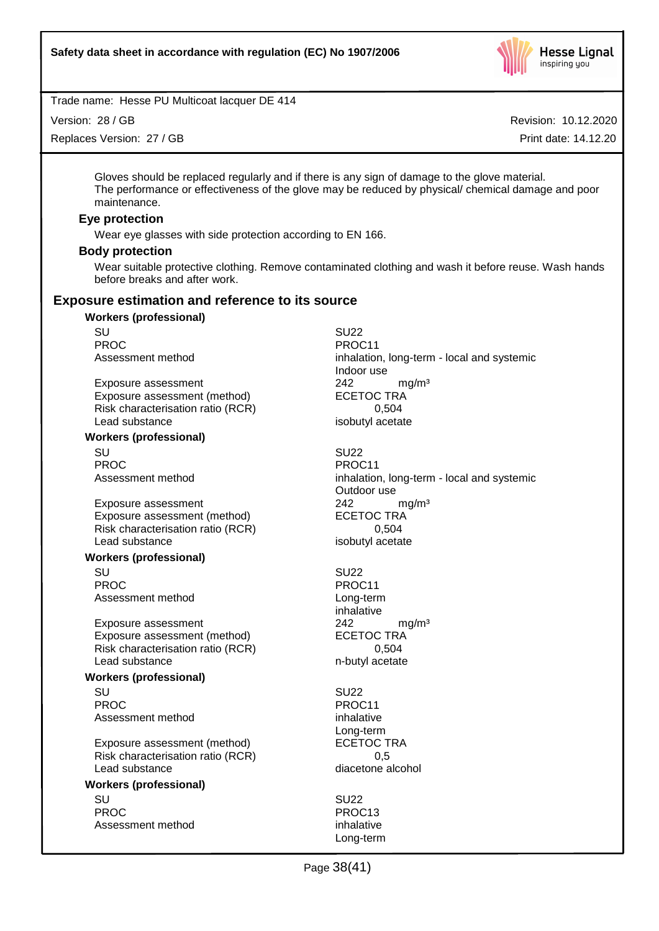

Version: 28 / GB

Replaces Version: 27 / GB

Revision: 10.12.2020

Print date: 14.12.20

Gloves should be replaced regularly and if there is any sign of damage to the glove material. The performance or effectiveness of the glove may be reduced by physical/ chemical damage and poor maintenance.

### **Eye protection**

Wear eye glasses with side protection according to EN 166.

### **Body protection**

Wear suitable protective clothing. Remove contaminated clothing and wash it before reuse. Wash hands before breaks and after work.

# **Exposure estimation and reference to its source**

# **Workers (professional)** SU SU22 PROC PROC11

Exposure assessment  $242$  mg/m<sup>3</sup><br>Exposure assessment (method) ECETOC TRA Exposure assessment (method) Risk characterisation ratio (RCR) 0,504 Lead substance isobutyl acetate

#### **Workers (professional)**

SU SU22 PROC PROCTER PROCTER PROCTER PROCTER PROCTER PROCTER PROCTER PROCTER PROCTER PROCTER PROCTER PROCTER PROCTER PROCTER PROCTER PROCTER PROCTER PROCTER PROCTER PROCTER PROCTER PROCTER PROCTER PROCTER PROCTER PROCTER PROCTER P

Exposure assessment  $242$  mg/m<sup>3</sup><br>Exposure assessment (method) ECETOC TRA Exposure assessment (method) Risk characterisation ratio (RCR) 6,504 Lead substance isobutyl acetate

### **Workers (professional)**

SU SU22 PROC PROCTER PROCTER PROCTER PROCTER PROCTER PROCTER PROCTER PROCTER PROCTER PROCTER PROCTER PROCTER PROCTER PROCTER PROCTER PROCTER PROCTER PROCTER PROCTER PROCTER PROCTER PROCTER PROCTER PROCTER PROCTER PROCTER PROCTER P Assessment method Long-term

Exposure assessment <br>
Exposure assessment (method) 
<br>
ECETOC TRA Exposure assessment (method) Risk characterisation ratio (RCR) 0,504 Lead substance n-butyl acetate

### **Workers (professional)**

SU SU22 PROC PROC11 Assessment method inhalative

Exposure assessment (method) Risk characterisation ratio (RCR) 0,5 Lead substance diacetone alcohol

#### **Workers (professional)**

SU SU22 PROC PROC13 Assessment method inhalative

Assessment method inhalation, long-term - local and systemic Indoor use

Assessment method inhalation, long-term - local and systemic Outdoor use

inhalative

Long-term<br>ECETOC TRA

Long-term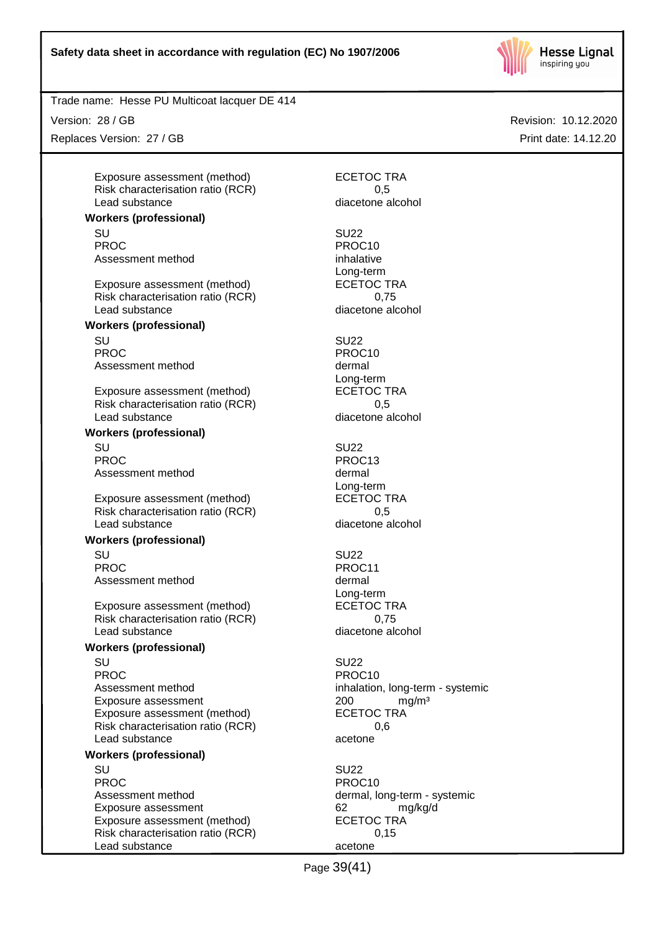

Version: 28 / GB

Replaces Version: 27 / GB

Exposure assessment (method) ECETOC TRA Risk characterisation ratio (RCR) 6.5 Lead substance diacetone alcohol

### **Workers (professional)**

SU SU22 PROC PROC10 Assessment method inhalative

Exposure assessment (method) Risk characterisation ratio (RCR) 0,75 Lead substance diacetone alcohol

### **Workers (professional)**

SU SU22 PROC PROCTER PROCTER PROCTER PROCTER PROCTER PROCTER PROCTER PROCTER PROCTER PROCTER PROCTER PROCTER PROCTER PROCTER PROCTER PROCTER PROCTER PROCTER PROCTER PROCTER PROCTER PROCTER PROCTER PROCTER PROCTER PROCTER PROCTER P Assessment method dermal

Exposure assessment (method) Risk characterisation ratio (RCR) 0,5 Lead substance diacetone alcohol

### **Workers (professional)**

SU SU22 PROC PROCTER PROCTER PROCTER PROCTER PROCTER PROCTER PROCTER PROCTER PROCTER PROCTER PROCTER PROCTER PROCTER PROCTER PROCTER PROCTER PROCTER PROCTER PROCTER PROCTER PROCTER PROCTER PROCTER PROCTER PROCTER PROCTER PROCTER P Assessment method dermal

Exposure assessment (method) ECETOC TRA Risk characterisation ratio (RCR) 0,5 Lead substance diacetone alcohol

### **Workers (professional)**

SU SU22 PROC PROC11 Assessment method dermal

Exposure assessment (method) ECETOC TRA Risk characterisation ratio (RCR) 0,75 Lead substance diacetone alcohol

### **Workers (professional)**

SU SU22 PROC PROC10 Assessment method inhalation, long-term - systemic Exposure assessment  $200$  mg/m<sup>3</sup><br>Exposure assessment (method) ECETOC TRA Exposure assessment (method) Risk characterisation ratio (RCR) 0,6 Lead substance acetone

### **Workers (professional)**

SU SU22 PROC PROC10 Assessment method dermal, long-term - systemic Exposure assessment 62 mg/kg/d Exposure assessment (method) ECETOC TRA Risk characterisation ratio (RCR) 0,15 Lead substance acetone

Long-term<br>ECETOC TRA

Long-term<br>ECETOC TRA

Long-term

Long-term

Page 39(41)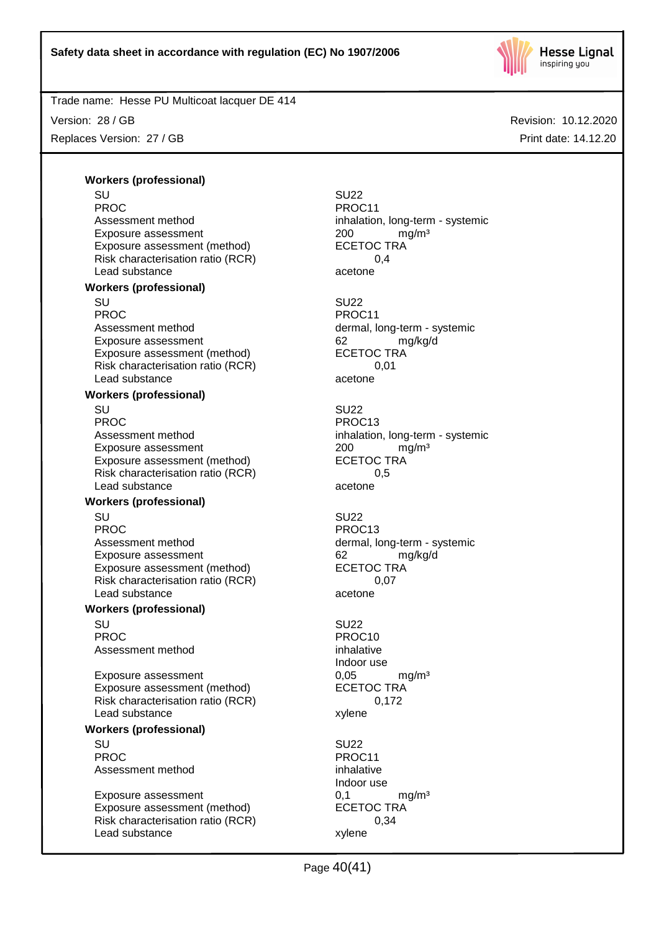

Version: 28 / GB Replaces Version: 27 / GB Revision: 10.12.2020 Print date: 14.12.20

**Workers (professional)**

SU SU22 PROC<br>
Assessment method<br>
Assessment method<br>  $\blacksquare$ Exposure assessment  $200$  mg/m<sup>3</sup><br>Exposure assessment (method) ECETOC TRA Exposure assessment (method) Risk characterisation ratio (RCR) 0,4 Lead substance acetone **Workers (professional)** SU SU22 PROC PROCHES PROCHES PROCHES PROCHES Assessment method dermal, long-term - systemic Exposure assessment determined by the control of the match of the match match match match match of the ECETOC TRA match match match match match match match match match match match match match match match match match match Exposure assessment (method) Risk characterisation ratio (RCR) 0,01 Lead substance acetone

# **Workers (professional)**

SU SU22 PROC PROC13 Assessment method inhalation, long-term - systemic Exposure assessment  $200$  mg/m<sup>3</sup><br>Exposure assessment (method) ECETOC TRA Exposure assessment (method) Risk characterisation ratio (RCR) 0,5 Lead substance acetone

### **Workers (professional)**

SU SU22 PROC PROC13 Assessment method dermal, long-term - systemic Exposure assessment 62 mg/kg/d Exposure assessment (method) ECETOC TRA Risk characterisation ratio (RCR) 0,07 Lead substance acetone

### **Workers (professional)**

SU SU22 PROC PROCHES PROCHES PROCHES PROCHES Assessment method inhalative

Exposure assessment <br>
Exposure assessment (method) 
ECETOC TRA Exposure assessment (method) Risk characterisation ratio (RCR) 0,172 Lead substance xylene

### **Workers (professional)**

SU SU22 PROC PROCTER PROCTER PROCTER PROCTER PROCTER PROCTER PROCTER PROCTER PROCTER PROCTER PROCTER PROCTER PROCTER PROCTER PROCTER PROCTER PROCTER PROCTER PROCTER PROCTER PROCTER PROCTER PROCTER PROCTER PROCTER PROCTER PROCTER P Assessment method inhalative

Exposure assessment 0,1 mg/m<sup>3</sup> Exposure assessment (method) ECETOC TRA Risk characterisation ratio (RCR) 0,34 Lead substance xylene

inhalation, long-term - systemic Indoor use Indoor use